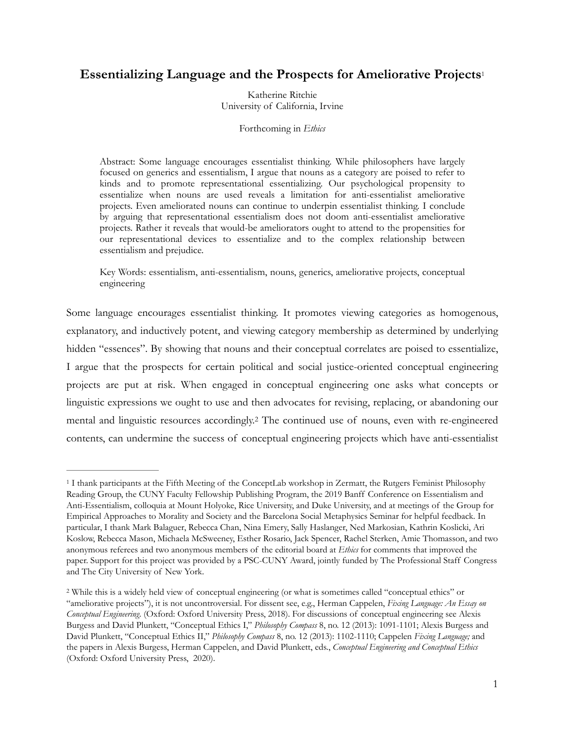# **Essentializing Language and the Prospects for Ameliorative Projects**[1](#page-0-0)

Katherine Ritchie University of California, Irvine

<span id="page-0-2"></span>Forthcoming in *Ethics* 

Abstract: Some language encourages essentialist thinking. While philosophers have largely focused on generics and essentialism, I argue that nouns as a category are poised to refer to kinds and to promote representational essentializing. Our psychological propensity to essentialize when nouns are used reveals a limitation for anti-essentialist ameliorative projects. Even ameliorated nouns can continue to underpin essentialist thinking. I conclude by arguing that representational essentialism does not doom anti-essentialist ameliorative projects. Rather it reveals that would-be ameliorators ought to attend to the propensities for our representational devices to essentialize and to the complex relationship between essentialism and prejudice.

Key Words: essentialism, anti-essentialism, nouns, generics, ameliorative projects, conceptual engineering

Some language encourages essentialist thinking. It promotes viewing categories as homogenous, explanatory, and inductively potent, and viewing category membership as determined by underlying hidden "essences". By showing that nouns and their conceptual correlates are poised to essentialize, I argue that the prospects for certain political and social justice-oriented conceptual engineering projects are put at risk. When engaged in conceptual engineering one asks what concepts or linguistic expressions we ought to use and then advocates for revising, replacing, or abandoning our mental and linguistic resources accordingly[.](#page-0-1)<sup>[2](#page-0-1)</sup> The continued use of nouns, even with re-engineered contents, can undermine the success of conceptual engineering projects which have anti-essentialist

<span id="page-0-3"></span><span id="page-0-0"></span>I thank participants at the Fifth Meeting of the ConceptLab workshop in Zermatt, the Rutgers Feminist Philosophy [1](#page-0-2) Reading Group, the CUNY Faculty Fellowship Publishing Program, the 2019 Banff Conference on Essentialism and Anti-Essentialism, colloquia at Mount Holyoke, Rice University, and Duke University, and at meetings of the Group for Empirical Approaches to Morality and Society and the Barcelona Social Metaphysics Seminar for helpful feedback. In particular, I thank Mark Balaguer, Rebecca Chan, Nina Emery, Sally Haslanger, Ned Markosian, Kathrin Koslicki, Ari Koslow, Rebecca Mason, Michaela McSweeney, Esther Rosario, Jack Spencer, Rachel Sterken, Amie Thomasson, and two anonymous referees and two anonymous members of the editorial board at *Ethics* for comments that improved the paper. Support for this project was provided by a PSC-CUNY Award, jointly funded by The Professional Staff Congress and The City University of New York.

<span id="page-0-1"></span>While this is a widely held view of conceptual engineering (or what is sometimes called "conceptual ethics" or [2](#page-0-3) "ameliorative projects"), it is not uncontroversial. For dissent see, e.g., Herman Cappelen, *Fixing Language: An Essay on Conceptual Engineering*. (Oxford: Oxford University Press, 2018). For discussions of conceptual engineering see Alexis Burgess and David Plunkett, "Conceptual Ethics I," *Philosophy Compass* 8, no. 12 (2013): 1091-1101; Alexis Burgess and David Plunkett, "Conceptual Ethics II," *Philosophy Compass* 8, no. 12 (2013): 1102-1110; Cappelen *Fixing Language;* and the papers in Alexis Burgess, Herman Cappelen, and David Plunkett, eds., *Conceptual Engineering and Conceptual Ethics*  (Oxford: Oxford University Press, 2020).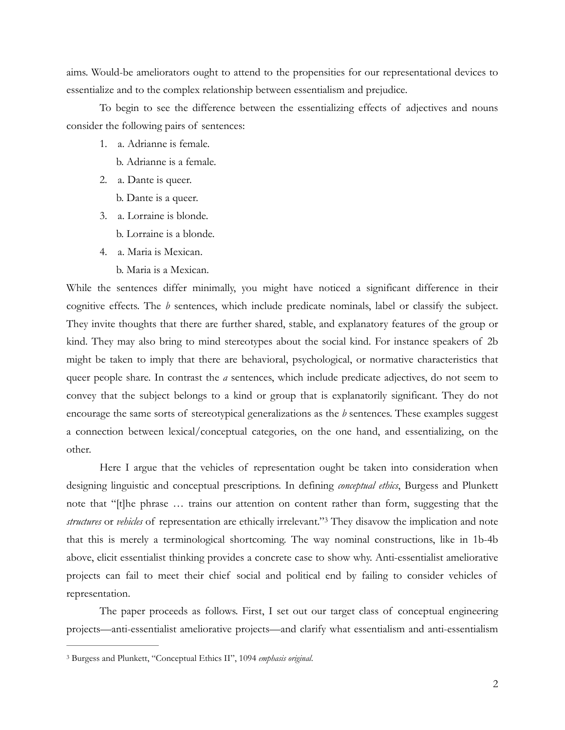aims. Would-be ameliorators ought to attend to the propensities for our representational devices to essentialize and to the complex relationship between essentialism and prejudice.

To begin to see the difference between the essentializing effects of adjectives and nouns consider the following pairs of sentences:

1. a. Adrianne is female.

b. Adrianne is a female.

- 2. a. Dante is queer.
	- b. Dante is a queer.
- 3. a. Lorraine is blonde.
	- b. Lorraine is a blonde.
- 4. a. Maria is Mexican.
	- b. Maria is a Mexican.

While the sentences differ minimally, you might have noticed a significant difference in their cognitive effects. The *b* sentences, which include predicate nominals, label or classify the subject. They invite thoughts that there are further shared, stable, and explanatory features of the group or kind. They may also bring to mind stereotypes about the social kind. For instance speakers of 2b might be taken to imply that there are behavioral, psychological, or normative characteristics that queer people share. In contrast the *a* sentences, which include predicate adjectives, do not seem to convey that the subject belongs to a kind or group that is explanatorily significant. They do not encourage the same sorts of stereotypical generalizations as the *b* sentences. These examples suggest a connection between lexical/conceptual categories, on the one hand, and essentializing, on the other.

<span id="page-1-1"></span> Here I argue that the vehicles of representation ought be taken into consideration when designing linguistic and conceptual prescriptions. In defining *conceptual ethics*, Burgess and Plunkett note that "[t]he phrase … trains our attention on content rather than form, suggesting that the *structures* or *vehicles* of representation are ethically irrelevant."<sup>[3](#page-1-0)</sup> They disavow the implication and note that this is merely a terminological shortcoming. The way nominal constructions, like in 1b-4b above, elicit essentialist thinking provides a concrete case to show why. Anti-essentialist ameliorative projects can fail to meet their chief social and political end by failing to consider vehicles of representation.

 The paper proceeds as follows. First, I set out our target class of conceptual engineering projects—anti-essentialist ameliorative projects—and clarify what essentialism and anti-essentialism

<span id="page-1-0"></span>Burgess and Plunkett, "Conceptual Ethics II", 1094 *emphasis original*. [3](#page-1-1)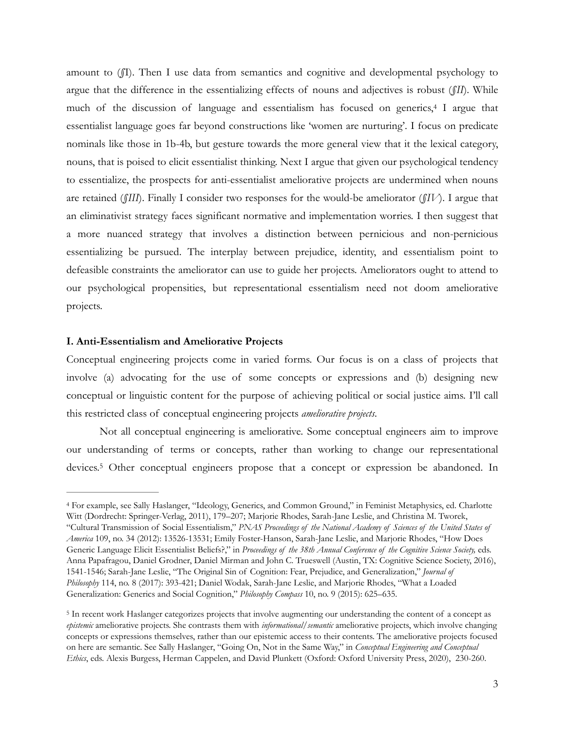<span id="page-2-2"></span>amount to (*§*I). Then I use data from semantics and cognitive and developmental psychology to argue that the difference in the essentializing effects of nouns and adjectives is robust (*§II*). While muchof the discussion of language and essentialism has focused on generics,<sup>[4](#page-2-0)</sup> I argue that essentialist language goes far beyond constructions like 'women are nurturing'. I focus on predicate nominals like those in 1b-4b, but gesture towards the more general view that it the lexical category, nouns, that is poised to elicit essentialist thinking. Next I argue that given our psychological tendency to essentialize, the prospects for anti-essentialist ameliorative projects are undermined when nouns are retained (*§III*). Finally I consider two responses for the would-be ameliorator (*§IV*). I argue that an eliminativist strategy faces significant normative and implementation worries. I then suggest that a more nuanced strategy that involves a distinction between pernicious and non-pernicious essentializing be pursued. The interplay between prejudice, identity, and essentialism point to defeasible constraints the ameliorator can use to guide her projects. Ameliorators ought to attend to our psychological propensities, but representational essentialism need not doom ameliorative projects.

#### **I. Anti-Essentialism and Ameliorative Projects**

Conceptual engineering projects come in varied forms. Our focus is on a class of projects that involve (a) advocating for the use of some concepts or expressions and (b) designing new conceptual or linguistic content for the purpose of achieving political or social justice aims. I'll call this restricted class of conceptual engineering projects *ameliorative projects*.

<span id="page-2-3"></span> Not all conceptual engineering is ameliorative. Some conceptual engineers aim to improve our understanding of terms or concepts, rather than working to change our representational devices.<sup>5</sup>Other conceptual engineers propose that a concept or expression be abandoned. In

<span id="page-2-0"></span>For example, see Sally Haslanger, "Ideology, Generics, and Common Ground," in Feminist Metaphysics, ed. Charlotte [4](#page-2-2) Witt (Dordrecht: Springer-Verlag, 2011), 179–207; Marjorie Rhodes, Sarah-Jane Leslie, and Christina M. Tworek, "Cultural Transmission of Social Essentialism," *PNAS Proceedings of the National Academy of Sciences of the United States of America* 109, no. 34 (2012): 13526-13531; Emily Foster-Hanson, Sarah-Jane Leslie, and Marjorie Rhodes, "How Does Generic Language Elicit Essentialist Beliefs?," in *Proceedings of the 38th Annual Conference of the Cognitive Science Society*, eds. Anna Papafragou, Daniel Grodner, Daniel Mirman and John C. Trueswell (Austin, TX: Cognitive Science Society, 2016), 1541-1546; Sarah-Jane Leslie, "The Original Sin of Cognition: Fear, Prejudice, and Generalization," *Journal of Philosophy* 114, no. 8 (2017): 393-421; Daniel Wodak, Sarah-Jane Leslie, and Marjorie Rhodes, "What a Loaded Generalization: Generics and Social Cognition," *Philosophy Compass* 10, no. 9 (2015): 625–635.

<span id="page-2-1"></span><sup>&</sup>lt;sup>[5](#page-2-3)</sup> In recent work Haslanger categorizes projects that involve augmenting our understanding the content of a concept as *epistemic* ameliorative projects. She contrasts them with *informational*/*semantic* ameliorative projects, which involve changing concepts or expressions themselves, rather than our epistemic access to their contents. The ameliorative projects focused on here are semantic. See Sally Haslanger, "Going On, Not in the Same Way," in *Conceptual Engineering and Conceptual Ethics*, eds. Alexis Burgess, Herman Cappelen, and David Plunkett (Oxford: Oxford University Press, 2020), 230-260.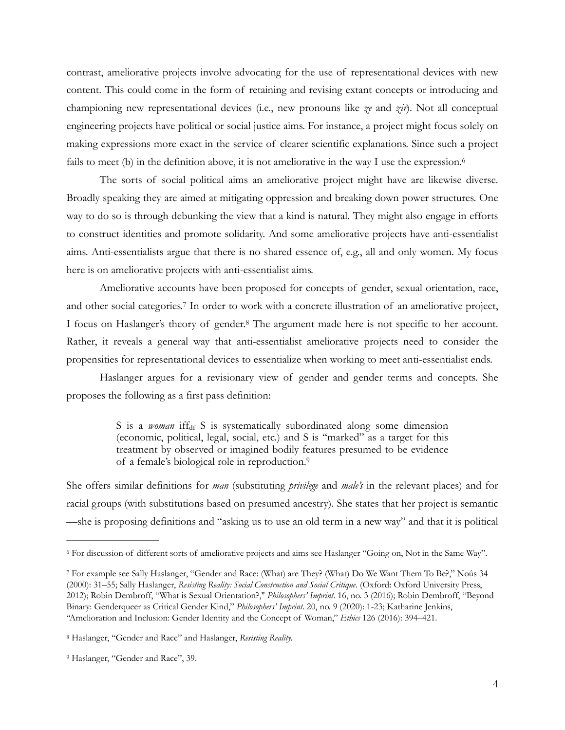contrast, ameliorative projects involve advocating for the use of representational devices with new content. This could come in the form of retaining and revising extant concepts or introducing and championing new representational devices (i.e., new pronouns like *ze* and *zir*). Not all conceptual engineering projects have political or social justice aims. For instance, a project might focus solely on making expressions more exact in the service of clearer scientific explanations. Since such a project fails to meet (b) in the definition above, it is not ameliorative in the way I use the expression.<sup>[6](#page-3-0)</sup>

<span id="page-3-4"></span> The sorts of social political aims an ameliorative project might have are likewise diverse. Broadly speaking they are aimed at mitigating oppression and breaking down power structures. One way to do so is through debunking the view that a kind is natural. They might also engage in efforts to construct identities and promote solidarity. And some ameliorative projects have anti-essentialist aims. Anti-essentialists argue that there is no shared essence of, e.g., all and only women. My focus here is on ameliorative projects with anti-essentialist aims.

<span id="page-3-5"></span>Ameliorative accounts have been proposed for concepts of gender, sexual orientation, race, and other social categories[.](#page-3-1)<sup>[7](#page-3-1)</sup> In order to work with a concrete illustration of an ameliorative project, I focus on Haslanger's theory of gender[.](#page-3-2)<sup>[8](#page-3-2)</sup> The argument made here is not specific to her account. Rather, it reveals a general way that anti-essentialist ameliorative projects need to consider the propensities for representational devices to essentialize when working to meet anti-essentialist ends.

 Haslanger argues for a revisionary view of gender and gender terms and concepts. She proposes the following as a first pass definition:

> <span id="page-3-7"></span><span id="page-3-6"></span>S is a *woman* iff<sub>df</sub> S is systematically subordinated along some dimension (economic, political, legal, social, etc.) and S is "marked" as a target for this treatment by observed or imagined bodily features presumed to be evidence of a female's biological role in reproduction[.9](#page-3-3)

She offers similar definitions for *man* (substituting *privilege* and *male's* in the relevant places) and for racial groups (with substitutions based on presumed ancestry). She states that her project is semantic —she is proposing definitions and "asking us to use an old term in a new way" and that it is political

<span id="page-3-0"></span><sup>&</sup>lt;sup>[6](#page-3-4)</sup> For discussion of different sorts of ameliorative projects and aims see Haslanger "Going on, Not in the Same Way".

<span id="page-3-1"></span>For example see Sally Haslanger, "Gender and Race: (What) are They? (What) Do We Want Them To Be?," Noûs 34 [7](#page-3-5) (2000): 31–55; Sally Haslanger, *Resisting Reality: Social Construction and Social Critique*. (Oxford: Oxford University Press, 2012); Robin Dembroff, "What is Sexual Orientation?," *Philosophers' Imprint*. 16, no. 3 (2016); Robin Dembroff, "Beyond Binary: Genderqueer as Critical Gender Kind," *Philosophers' Imprint*. 20, no. 9 (2020): 1-23; Katharine Jenkins, "Amelioration and Inclusion: Gender Identity and the Concept of Woman," *Ethics* 126 (2016): 394–421.

<span id="page-3-2"></span>Haslanger, "Gender and Race" and Haslanger, *Resisting Reality.* [8](#page-3-6)

<span id="page-3-3"></span><sup>&</sup>lt;sup>[9](#page-3-7)</sup> Haslanger, "Gender and Race", 39.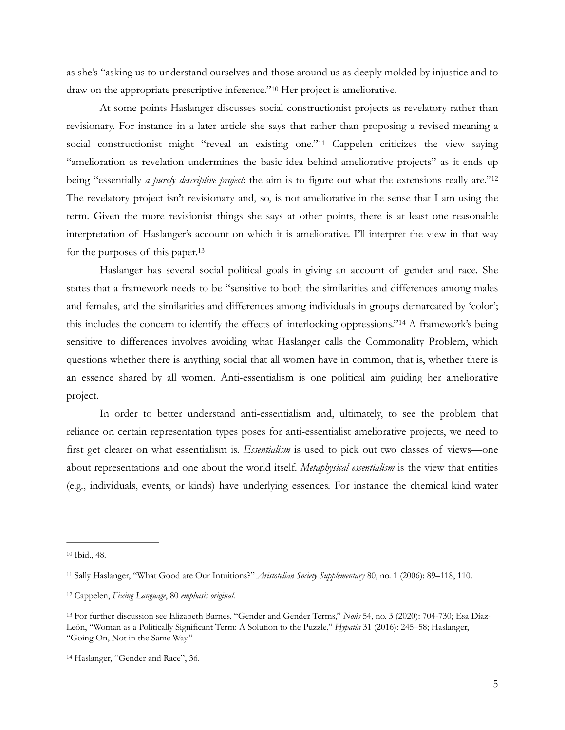<span id="page-4-5"></span>as she's "asking us to understand ourselves and those around us as deeply molded by injustice and to draw on the appropriate prescriptive inference."<sup>[10](#page-4-0)</sup> Her project is ameliorative.

<span id="page-4-7"></span><span id="page-4-6"></span> At some points Haslanger discusses social constructionist projects as revelatory rather than revisionary. For instance in a later article she says that rather than proposing a revised meaning a social constructionist might "reveal an existing one."<sup>[11](#page-4-1)</sup> Cappelen criticizes the view saying "amelioration as revelation undermines the basic idea behind ameliorative projects" as it ends up being "essentially *a purely descriptive project*: the aim is to figure out what the extensions really are.["12](#page-4-2) The revelatory project isn't revisionary and, so, is not ameliorative in the sense that I am using the term. Given the more revisionist things she says at other points, there is at least one reasonable interpretation of Haslanger's account on which it is ameliorative. I'll interpret the view in that way for the purposes of this paper[.13](#page-4-3)

<span id="page-4-9"></span><span id="page-4-8"></span> Haslanger has several social political goals in giving an account of gender and race. She states that a framework needs to be "sensitive to both the similarities and differences among males and females, and the similarities and differences among individuals in groups demarcated by 'color'; this includes the concern to identify the effects of interlocking oppressions."<sup>[14](#page-4-4)</sup> A framework's being sensitive to differences involves avoiding what Haslanger calls the Commonality Problem, which questions whether there is anything social that all women have in common, that is, whether there is an essence shared by all women. Anti-essentialism is one political aim guiding her ameliorative project.

 In order to better understand anti-essentialism and, ultimately, to see the problem that reliance on certain representation types poses for anti-essentialist ameliorative projects, we need to first get clearer on what essentialism is. *Essentialism* is used to pick out two classes of views—one about representations and one about the world itself. *Metaphysical essentialism* is the view that entities (e.g., individuals, events, or kinds) have underlying essences. For instance the chemical kind water

<span id="page-4-0"></span><sup>&</sup>lt;sup>[10](#page-4-5)</sup> Ibid., 48.

<span id="page-4-1"></span>Sally Haslanger, "What Good are Our Intuitions?" *Aristotelian Society Supplementary* 80, no. 1 (2006): 89–118, 110. [11](#page-4-6)

<span id="page-4-2"></span>Cappelen, *Fixing Language*, 80 *emphasis original.* [12](#page-4-7)

<span id="page-4-3"></span>For further discussion see Elizabeth Barnes, "Gender and Gender Terms," *Noûs* 54, no. 3 (2020): 704-730; Esa Díaz- [13](#page-4-8) León, "Woman as a Politically Significant Term: A Solution to the Puzzle," *Hypatia* 31 (2016): 245–58; Haslanger, "Going On, Not in the Same Way."

<span id="page-4-4"></span><sup>&</sup>lt;sup>[14](#page-4-9)</sup> Haslanger, "Gender and Race", 36.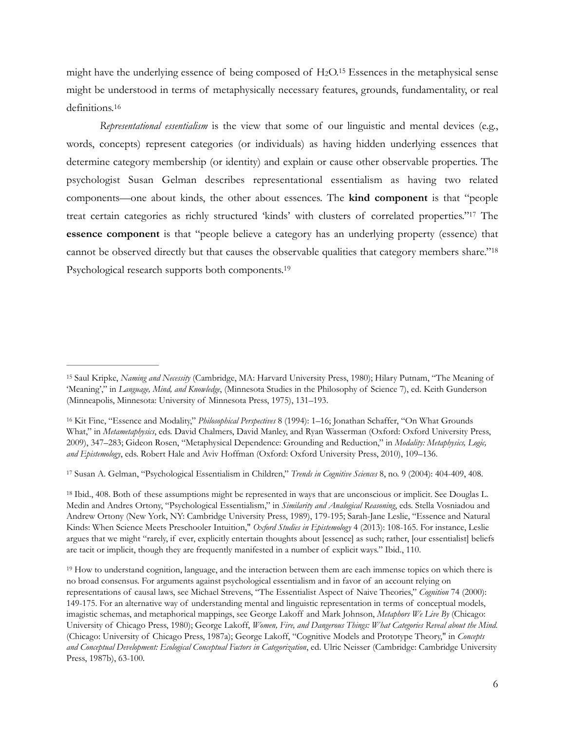<span id="page-5-5"></span>might have the underlying essence of being composed of  $H<sub>2</sub>O<sub>15</sub>$  $H<sub>2</sub>O<sub>15</sub>$  $H<sub>2</sub>O<sub>15</sub>$  Essences in the metaphysical sense might be understood in terms of metaphysically necessary features, grounds, fundamentality, or real definitions.[16](#page-5-1)

<span id="page-5-8"></span><span id="page-5-7"></span><span id="page-5-6"></span>*Representational essentialism* is the view that some of our linguistic and mental devices (e.g., words, concepts) represent categories (or individuals) as having hidden underlying essences that determine category membership (or identity) and explain or cause other observable properties. The psychologist Susan Gelman describes representational essentialism as having two related components—one about kinds, the other about essences. The **kind component** is that "people treat certain categories as richly structured 'kinds' with clusters of correlated properties."<sup>[17](#page-5-2)</sup> The **essence component** is that "people believe a category has an underlying property (essence) that cannot be observed directly but that causes the observable qualities that category members share.["18](#page-5-3) Psychological research supports both components.[19](#page-5-4)

<span id="page-5-2"></span>Susan A. Gelman, "Psychological Essentialism in Children," *Trends in Cognitive Sciences* 8, no. 9 (2004): 404-409, 408. [17](#page-5-7)

<span id="page-5-3"></span><sup>[18](#page-5-8)</sup> Ibid., 408. Both of these assumptions might be represented in ways that are unconscious or implicit. See Douglas L. Medin and Andres Ortony, "Psychological Essentialism," in *Similarity and Analogical Reasoning*, eds. Stella Vosniadou and Andrew Ortony (New York, NY: Cambridge University Press, 1989), 179-195; Sarah-Jane Leslie, "Essence and Natural Kinds: When Science Meets Preschooler Intuition," *Oxford Studies in Epistemology* 4 (2013): 108-165. For instance, Leslie argues that we might "rarely, if ever, explicitly entertain thoughts about [essence] as such; rather, [our essentialist] beliefs are tacit or implicit, though they are frequently manifested in a number of explicit ways." Ibid., 110.

<span id="page-5-4"></span><sup>[19](#page-5-9)</sup> How to understand cognition, language, and the interaction between them are each immense topics on which there is no broad consensus. For arguments against psychological essentialism and in favor of an account relying on representations of causal laws, see Michael Strevens, "The Essentialist Aspect of Naive Theories," *Cognition* 74 (2000): 149-175. For an alternative way of understanding mental and linguistic representation in terms of conceptual models, imagistic schemas, and metaphorical mappings, see George Lakoff and Mark Johnson, *Metaphors We Live By* (Chicago: University of Chicago Press, 1980); George Lakoff, *Women, Fire, and Dangerous Things: What Categories Reveal about the Mind.*  (Chicago: University of Chicago Press, 1987a); George Lakoff, "Cognitive Models and Prototype Theory," in *Concepts and Conceptual Development: Ecological Conceptual Factors in Categorization*, ed. Ulric Neisser (Cambridge: Cambridge University Press, 1987b), 63-100.

<span id="page-5-9"></span><span id="page-5-0"></span><sup>&</sup>lt;sup>[15](#page-5-5)</sup> Saul Kripke, *Naming and Necessity* (Cambridge, MA: Harvard University Press, 1980); Hilary Putnam, "The Meaning of 'Meaning'," in *Language, Mind, and Knowledge*, (Minnesota Studies in the Philosophy of Science 7), ed. Keith Gunderson (Minneapolis, Minnesota: University of Minnesota Press, 1975), 131–193.

<span id="page-5-1"></span><sup>&</sup>lt;sup>[16](#page-5-6)</sup> Kit Fine, "Essence and Modality," *Philosophical Perspectives* 8 (1994): 1-16; Jonathan Schaffer, "On What Grounds What," in *Metametaphysics*, eds. David Chalmers, David Manley, and Ryan Wasserman (Oxford: Oxford University Press, 2009), 347–283; Gideon Rosen, "Metaphysical Dependence: Grounding and Reduction," in *Modality: Metaphysics, Logic, and Epistemology*, eds. Robert Hale and Aviv Hoffman (Oxford: Oxford University Press, 2010), 109–136.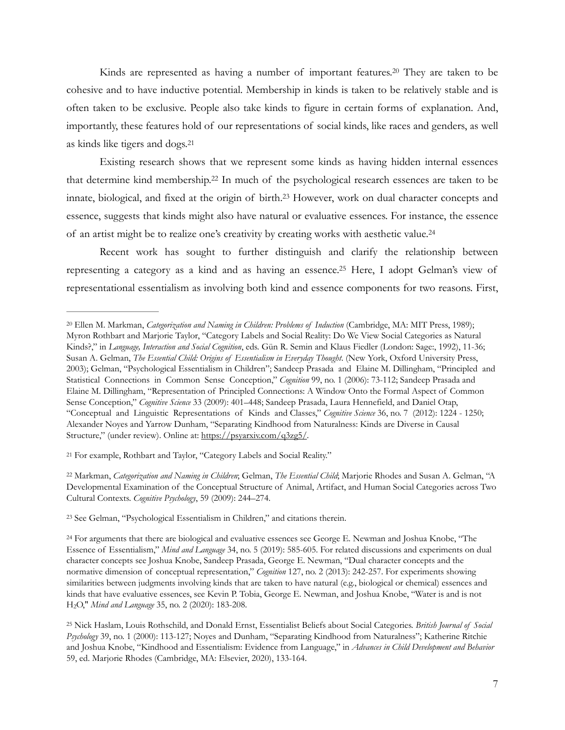<span id="page-6-6"></span>Kinds are represented as having a number of important features.<sup>[20](#page-6-0)</sup> They are taken to be cohesive and to have inductive potential. Membership in kinds is taken to be relatively stable and is often taken to be exclusive. People also take kinds to figure in certain forms of explanation. And, importantly, these features hold of our representations of social kinds, like races and genders, as well as kinds like tigers and dogs[.21](#page-6-1)

<span id="page-6-9"></span><span id="page-6-8"></span><span id="page-6-7"></span> Existing research shows that we represent some kinds as having hidden internal essences that determine kind membership.<sup>[22](#page-6-2)</sup> In much of the psychological research essences are taken to be innate, biological, and fixed at the origin of birth.<sup>[23](#page-6-3)</sup> However, work on dual character concepts and essence, suggests that kinds might also have natural or evaluative essences. For instance, the essence of an artist might be to realize one's creativity by creating works with aesthetic value[. 24](#page-6-4)

<span id="page-6-11"></span><span id="page-6-10"></span> Recent work has sought to further distinguish and clarify the relationship between representing a category as a kind and as having an essence.<sup>[25](#page-6-5)</sup> Here, I adopt Gelman's view of representational essentialism as involving both kind and essence components for two reasons. First,

<span id="page-6-3"></span><sup>[23](#page-6-9)</sup> See Gelman, "Psychological Essentialism in Children," and citations therein.

<span id="page-6-0"></span><sup>&</sup>lt;sup>[20](#page-6-6)</sup> Ellen M. Markman, *Categorization and Naming in Children: Problems of Induction* (Cambridge, MA: MIT Press, 1989); Myron Rothbart and Marjorie Taylor, "Category Labels and Social Reality: Do We View Social Categories as Natural Kinds?," in *Language, Interaction and Social Cognition*, eds. Gün R. Semin and Klaus Fiedler (London: Sage:, 1992), 11-36; Susan A. Gelman, *The Essential Child: Origins of Essentialism in Everyday Thought*. (New York, Oxford University Press, 2003); Gelman, "Psychological Essentialism in Children"; Sandeep Prasada and Elaine M. Dillingham, "Principled and Statistical Connections in Common Sense Conception," *Cognition* 99, no. 1 (2006): 73-112; Sandeep Prasada and Elaine M. Dillingham, "Representation of Principled Connections: A Window Onto the Formal Aspect of Common Sense Conception," *Cognitive Science* 33 (2009): 401–448; Sandeep Prasada, Laura Hennefield, and Daniel Otap, "Conceptual and Linguistic Representations of Kinds and Classes," *Cognitive Science* 36, no. 7 (2012): 1224 - 1250; Alexander Noyes and Yarrow Dunham, "Separating Kindhood from Naturalness: Kinds are Diverse in Causal Structure," (under review). Online at:<https://psyarxiv.com/q3zg5/>*.*

<span id="page-6-1"></span>[<sup>21</sup>](#page-6-7) For example, Rothbart and Taylor, "Category Labels and Social Reality."

<span id="page-6-2"></span><sup>&</sup>lt;sup>[22](#page-6-8)</sup> Markman, *Categorization and Naming in Children*; Gelman, *The Essential Child*; Marjorie Rhodes and Susan A. Gelman, "A Developmental Examination of the Conceptual Structure of Animal, Artifact, and Human Social Categories across Two Cultural Contexts. *Cognitive Psychology*, 59 (2009): 244–274.

<span id="page-6-4"></span><sup>&</sup>lt;sup>[24](#page-6-10)</sup> For arguments that there are biological and evaluative essences see George E. Newman and Joshua Knobe, "The Essence of Essentialism," *Mind and Language* 34, no. 5 (2019): 585-605. For related discussions and experiments on dual character concepts see Joshua Knobe, Sandeep Prasada, George E. Newman, "Dual character concepts and the normative dimension of conceptual representation," *Cognition* 127, no. 2 (2013): 242-257. For experiments showing similarities between judgments involving kinds that are taken to have natural (e.g., biological or chemical) essences and kinds that have evaluative essences, see Kevin P. Tobia, George E. Newman, and Joshua Knobe, "Water is and is not H2O," *Mind and Language* 35, no. 2 (2020): 183-208.

<span id="page-6-5"></span>Nick Haslam, Louis Rothschild, and Donald Ernst, Essentialist Beliefs about Social Categories. *British Journal of Social* [25](#page-6-11) *Psychology* 39, no. 1 (2000): 113-127; Noyes and Dunham, "Separating Kindhood from Naturalness"; Katherine Ritchie and Joshua Knobe, "Kindhood and Essentialism: Evidence from Language," in *Advances in Child Development and Behavior*  59, ed. Marjorie Rhodes (Cambridge, MA: Elsevier, 2020), 133-164.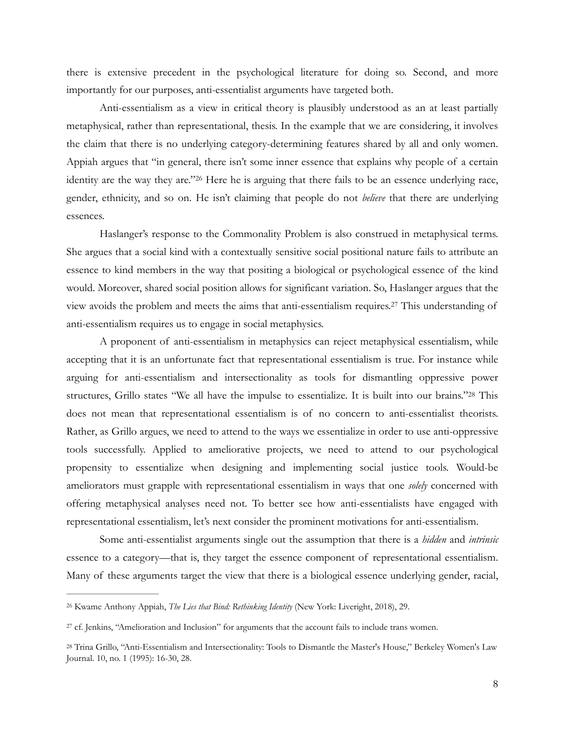there is extensive precedent in the psychological literature for doing so. Second, and more importantly for our purposes, anti-essentialist arguments have targeted both.

 Anti-essentialism as a view in critical theory is plausibly understood as an at least partially metaphysical, rather than representational, thesis. In the example that we are considering, it involves the claim that there is no underlying category-determining features shared by all and only women. Appiah argues that "in general, there isn't some inner essence that explains why people of a certain identity are the way they are."<sup>[26](#page-7-0)</sup> Here he is arguing that there fails to be an essence underlying race, gender, ethnicity, and so on. He isn't claiming that people do not *believe* that there are underlying essences.

<span id="page-7-3"></span> Haslanger's response to the Commonality Problem is also construed in metaphysical terms. She argues that a social kind with a contextually sensitive social positional nature fails to attribute an essence to kind members in the way that positing a biological or psychological essence of the kind would. Moreover, shared social position allows for significant variation. So, Haslanger argues that the view avoids the problem and meets the aims that anti-essentialism requires. This understanding of [27](#page-7-1) anti-essentialism requires us to engage in social metaphysics.

<span id="page-7-5"></span><span id="page-7-4"></span> A proponent of anti-essentialism in metaphysics can reject metaphysical essentialism, while accepting that it is an unfortunate fact that representational essentialism is true. For instance while arguing for anti-essentialism and intersectionality as tools for dismantling oppressive power structures, Grillo states "We all have the impulse to essentialize. It is built into our brains."[28](#page-7-2) This does not mean that representational essentialism is of no concern to anti-essentialist theorists. Rather, as Grillo argues, we need to attend to the ways we essentialize in order to use anti-oppressive tools successfully. Applied to ameliorative projects, we need to attend to our psychological propensity to essentialize when designing and implementing social justice tools. Would-be ameliorators must grapple with representational essentialism in ways that one *solely* concerned with offering metaphysical analyses need not. To better see how anti-essentialists have engaged with representational essentialism, let's next consider the prominent motivations for anti-essentialism.

 Some anti-essentialist arguments single out the assumption that there is a *hidden* and *intrinsic*  essence to a category—that is, they target the essence component of representational essentialism. Many of these arguments target the view that there is a biological essence underlying gender, racial,

<span id="page-7-0"></span><sup>&</sup>lt;sup>[26](#page-7-3)</sup> Kwame Anthony Appiah, *The Lies that Bind: Rethinking Identity* (New York: Liveright, 2018), 29.

<span id="page-7-1"></span><sup>&</sup>lt;sup>[27](#page-7-4)</sup> cf. Jenkins, "Amelioration and Inclusion" for arguments that the account fails to include trans women.

<span id="page-7-2"></span><sup>&</sup>lt;sup>[28](#page-7-5)</sup> Trina Grillo, "Anti-Essentialism and Intersectionality: Tools to Dismantle the Master's House," Berkeley Women's Law Journal. 10, no. 1 (1995): 16-30, 28.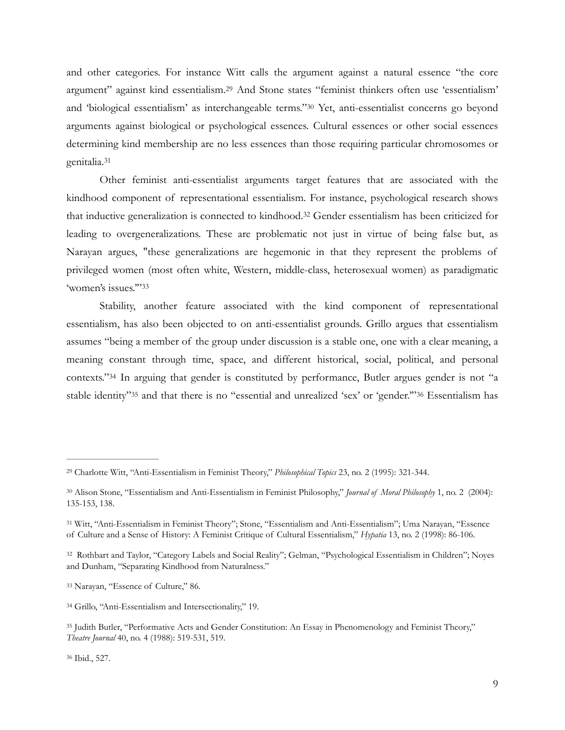<span id="page-8-9"></span><span id="page-8-8"></span>and other categories. For instance Witt calls the argument against a natural essence "the core argument" against kind essentialism.<sup>[29](#page-8-0)</sup> And Stone states "feminist thinkers often use 'essentialism' and 'biological essentialism' as interchangeable terms." [30](#page-8-1) Yet, anti-essentialist concerns go beyond arguments against biological or psychological essences. Cultural essences or other social essences determining kind membership are no less essences than those requiring particular chromosomes or genitalia.[31](#page-8-2)

<span id="page-8-11"></span><span id="page-8-10"></span> Other feminist anti-essentialist arguments target features that are associated with the kindhood component of representational essentialism. For instance, psychological research shows that inductive generalization is connected to kindhood.<sup>[32](#page-8-3)</sup> Gender essentialism has been criticized for leading to overgeneralizations. These are problematic not just in virtue of being false but, as Narayan argues, "these generalizations are hegemonic in that they represent the problems of privileged women (most often white, Western, middle-class, heterosexual women) as paradigmatic 'women's issues.'"[33](#page-8-4)

<span id="page-8-13"></span><span id="page-8-12"></span> Stability, another feature associated with the kind component of representational essentialism, has also been objected to on anti-essentialist grounds. Grillo argues that essentialism assumes "being a member of the group under discussion is a stable one, one with a clear meaning, a meaning constant through time, space, and different historical, social, political, and personal contexts."<sup>[34](#page-8-5)</sup> In arguing that gender is constituted by performance, Butler argues gender is not "a stable identity"<sup>[35](#page-8-6)</sup> and that there is no "essential and unrealized 'sex' or 'gender."<sup>36</sup> Essentialism has

<span id="page-8-15"></span><span id="page-8-14"></span><span id="page-8-0"></span>Charlotte Witt, "Anti-Essentialism in Feminist Theory," *Philosophical Topics* 23, no. 2 (1995): 321-344. [29](#page-8-8)

<span id="page-8-1"></span>Alison Stone, "Essentialism and Anti-Essentialism in Feminist Philosophy," *Journal of Moral Philosophy* 1, no. 2 (2004): [30](#page-8-9) 135-153, 138.

<span id="page-8-2"></span><sup>&</sup>lt;sup>[31](#page-8-10)</sup> Witt, "Anti-Essentialism in Feminist Theory"; Stone, "Essentialism and Anti-Essentialism"; Uma Narayan, "Essence of Culture and a Sense of History: A Feminist Critique of Cultural Essentialism," *Hypatia* 13, no. 2 (1998): 86-106.

<span id="page-8-3"></span>[<sup>32</sup>](#page-8-11) Rothbart and Taylor, "Category Labels and Social Reality"; Gelman, "Psychological Essentialism in Children"; Noyes and Dunham, "Separating Kindhood from Naturalness."

<span id="page-8-4"></span><sup>&</sup>lt;sup>[33](#page-8-12)</sup> Narayan, "Essence of Culture," 86.

<span id="page-8-5"></span><sup>&</sup>lt;sup>[34](#page-8-13)</sup> Grillo, "Anti-Essentialism and Intersectionality," 19.

<span id="page-8-7"></span><span id="page-8-6"></span><sup>&</sup>lt;sup>[35](#page-8-14)</sup> Judith Butler, "Performative Acts and Gender Constitution: An Essay in Phenomenology and Feminist Theory," *Theatre Journal* 40, no. 4 (1988): 519-531, 519.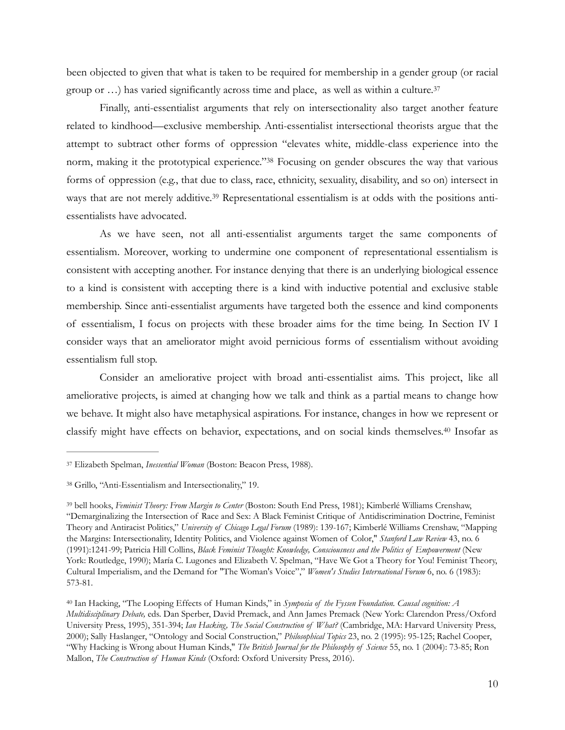<span id="page-9-4"></span>been objected to given that what is taken to be required for membership in a gender group (or racial group or  $\ldots$ ) has varied significantly across time and place, as well as within a culture.<sup>[37](#page-9-0)</sup>

<span id="page-9-5"></span> Finally, anti-essentialist arguments that rely on intersectionality also target another feature related to kindhood—exclusive membership. Anti-essentialist intersectional theorists argue that the attempt to subtract other forms of oppression "elevates white, middle-class experience into the norm, making it the prototypical experience." [38](#page-9-1) Focusing on gender obscures the way that various forms of oppression (e.g., that due to class, race, ethnicity, sexuality, disability, and so on) intersect in ways that are not merely additive.<sup>39</sup> Representational essentialism is at odds with the positions antiessentialists have advocated.

<span id="page-9-6"></span> As we have seen, not all anti-essentialist arguments target the same components of essentialism. Moreover, working to undermine one component of representational essentialism is consistent with accepting another. For instance denying that there is an underlying biological essence to a kind is consistent with accepting there is a kind with inductive potential and exclusive stable membership. Since anti-essentialist arguments have targeted both the essence and kind components of essentialism, I focus on projects with these broader aims for the time being. In Section IV I consider ways that an ameliorator might avoid pernicious forms of essentialism without avoiding essentialism full stop.

 Consider an ameliorative project with broad anti-essentialist aims. This project, like all ameliorative projects, is aimed at changing how we talk and think as a partial means to change how we behave. It might also have metaphysical aspirations. For instance, changes in how we represent or classify might have effects on behavior, expectations, and on social kinds themselves.<sup>[40](#page-9-3)</sup> Insofar as

<span id="page-9-7"></span><span id="page-9-0"></span><sup>&</sup>lt;sup>[37](#page-9-4)</sup> Elizabeth Spelman, *Inessential Woman* (Boston: Beacon Press, 1988).

<span id="page-9-1"></span><sup>&</sup>lt;sup>[38](#page-9-5)</sup> Grillo, "Anti-Essentialism and Intersectionality," 19.

<span id="page-9-2"></span>bell hooks, *Feminist Theory: From Margin to Center* (Boston: South End Press, 1981); Kimberlé Williams Crenshaw, [39](#page-9-6) "Demarginalizing the Intersection of Race and Sex: A Black Feminist Critique of Antidiscrimination Doctrine, Feminist Theory and Antiracist Politics," *University of Chicago Legal Forum* (1989): 139-167; Kimberlé Williams Crenshaw, "Mapping the Margins: Intersectionality, Identity Politics, and Violence against Women of Color," *Stanford Law Review* 43, no. 6 (1991):1241-99; Patricia Hill Collins, *Black Feminist Thought: Knowledge, Consciousness and the Politics of Empowerment* (New York: Routledge, 1990); María C. Lugones and Elizabeth V. Spelman, "Have We Got a Theory for You! Feminist Theory, Cultural Imperialism, and the Demand for "The Woman's Voice"," *Women's Studies International Forum* 6, no. 6 (1983): 573-81.

<span id="page-9-3"></span>Ian Hacking, "The Looping Effects of Human Kinds," in *Symposia of the Fyssen Foundation. Causal cognition: A* [40](#page-9-7) *Multidisciplinary Debate,* eds. Dan Sperber, David Premack, and Ann James Premack (New York: Clarendon Press/Oxford University Press, 1995), 351-394; *Ian Hacking, The Social Construction of What?* (Cambridge, MA: Harvard University Press, 2000); Sally Haslanger, "Ontology and Social Construction," *Philosophical Topics* 23, no. 2 (1995): 95-125; Rachel Cooper, "Why Hacking is Wrong about Human Kinds," *The British Journal for the Philosophy of Science* 55, no. 1 (2004): 73-85; Ron Mallon, *The Construction of Human Kinds* (Oxford: Oxford University Press, 2016).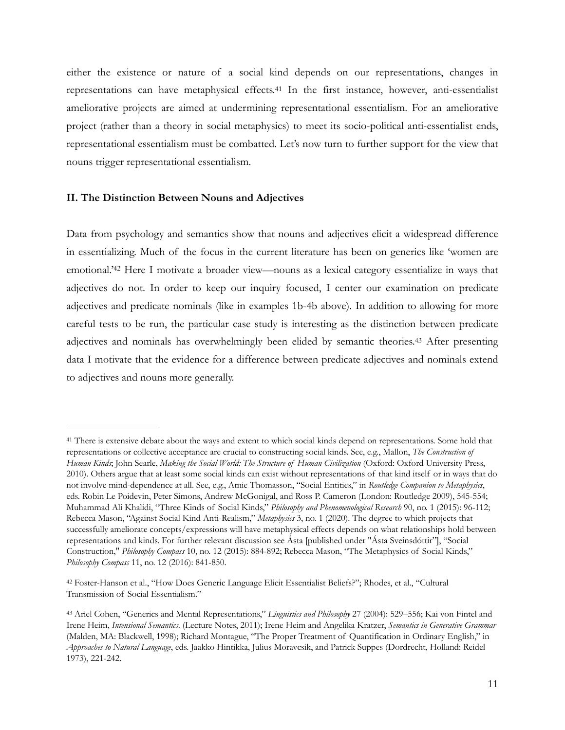<span id="page-10-3"></span>either the existence or nature of a social kind depends on our representations, changes in representations can have metaphysical effects.<sup>[41](#page-10-0)</sup> In the first instance, however, anti-essentialist ameliorative projects are aimed at undermining representational essentialism. For an ameliorative project (rather than a theory in social metaphysics) to meet its socio-political anti-essentialist ends, representational essentialism must be combatted. Let's now turn to further support for the view that nouns trigger representational essentialism.

## **II. The Distinction Between Nouns and Adjectives**

<span id="page-10-4"></span>Data from psychology and semantics show that nouns and adjectives elicit a widespread difference in essentializing. Much of the focus in the current literature has been on generics like 'women are emotional.<sup>'[42](#page-10-1)</sup> Here I motivate a broader view—nouns as a lexical category essentialize in ways that adjectives do not. In order to keep our inquiry focused, I center our examination on predicate adjectives and predicate nominals (like in examples 1b-4b above). In addition to allowing for more careful tests to be run, the particular case study is interesting as the distinction between predicate adjectives and nominals has overwhelmingly been elided by semantic theories.<sup>[43](#page-10-2)</sup> After presenting data I motivate that the evidence for a difference between predicate adjectives and nominals extend to adjectives and nouns more generally.

<span id="page-10-5"></span><span id="page-10-0"></span><sup>&</sup>lt;sup>[41](#page-10-3)</sup> There is extensive debate about the ways and extent to which social kinds depend on representations. Some hold that representations or collective acceptance are crucial to constructing social kinds. See, e.g., Mallon, *The Construction of Human Kinds*; John Searle, *Making the Social World: The Structure of Human Civilization* (Oxford: Oxford University Press, 2010). Others argue that at least some social kinds can exist without representations of that kind itself or in ways that do not involve mind-dependence at all. See, e.g., Amie Thomasson, "Social Entities," in *Routledge Companion to Metaphysics*, eds. Robin Le Poidevin, Peter Simons, Andrew McGonigal, and Ross P. Cameron (London: Routledge 2009), 545-554; Muhammad Ali Khalidi, "Three Kinds of Social Kinds," *Philosophy and Phenomenological Research* 90, no. 1 (2015): 96-112; Rebecca Mason, "Against Social Kind Anti-Realism," *Metaphysics* 3, no. 1 (2020). The degree to which projects that successfully ameliorate concepts/expressions will have metaphysical effects depends on what relationships hold between representations and kinds. For further relevant discussion see Ásta [published under "Ásta Sveinsdóttir"], "Social Construction," *Philosophy Compass* 10, no. 12 (2015): 884-892; Rebecca Mason, "The Metaphysics of Social Kinds," *Philosophy Compass* 11, no. 12 (2016): 841-850.

<span id="page-10-1"></span>Foster-Hanson et al., "How Does Generic Language Elicit Essentialist Beliefs?"; Rhodes, et al., "Cultural [42](#page-10-4) Transmission of Social Essentialism."

<span id="page-10-2"></span><sup>&</sup>lt;sup>[43](#page-10-5)</sup> Ariel Cohen, "Generics and Mental Representations," *Linguistics and Philosophy* 27 (2004): 529–556; Kai von Fintel and Irene Heim, *Intensional Semantics*. (Lecture Notes, 2011); Irene Heim and Angelika Kratzer, *Semantics in Generative Grammar* (Malden, MA: Blackwell, 1998); Richard Montague, "The Proper Treatment of Quantification in Ordinary English," in *Approaches to Natural Language*, eds. Jaakko Hintikka, Julius Moravcsik, and Patrick Suppes (Dordrecht, Holland: Reidel 1973), 221-242.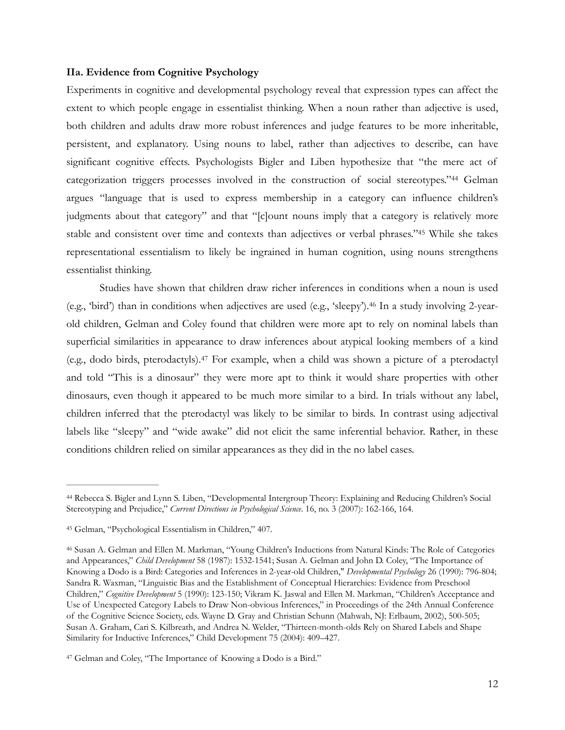#### **IIa. Evidence from Cognitive Psychology**

<span id="page-11-4"></span>Experiments in cognitive and developmental psychology reveal that expression types can affect the extent to which people engage in essentialist thinking. When a noun rather than adjective is used, both children and adults draw more robust inferences and judge features to be more inheritable, persistent, and explanatory. Using nouns to label, rather than adjectives to describe, can have significant cognitive effects. Psychologists Bigler and Liben hypothesize that "the mere act of categorization triggers processes involved in the construction of social stereotypes."<sup>[44](#page-11-0)</sup> Gelman argues "language that is used to express membership in a category can influence children's judgments about that category" and that "[c]ount nouns imply that a category is relatively more stable and consistent over time and contexts than adjectives or verbal phrases."[45](#page-11-1) While she takes representational essentialism to likely be ingrained in human cognition, using nouns strengthens essentialist thinking.

<span id="page-11-7"></span><span id="page-11-6"></span><span id="page-11-5"></span> Studies have shown that children draw richer inferences in conditions when a noun is used (e.g., 'bird') than in conditions when adjectives are used (e.g., 'sleepy').<sup>46</sup> In a study involving 2-yearold children, Gelman and Coley found that children were more apt to rely on nominal labels than superficial similarities in appearance to draw inferences about atypical looking members of a kind (e.g., dodo birds, pterodactyls).<sup>[47](#page-11-3)</sup> For example, when a child was shown a picture of a pterodactyl and told "This is a dinosaur" they were more apt to think it would share properties with other dinosaurs, even though it appeared to be much more similar to a bird. In trials without any label, children inferred that the pterodactyl was likely to be similar to birds. In contrast using adjectival labels like "sleepy" and "wide awake" did not elicit the same inferential behavior. Rather, in these conditions children relied on similar appearances as they did in the no label cases.

<span id="page-11-0"></span>Rebecca S. Bigler and Lynn S. Liben, "Developmental Intergroup Theory: Explaining and Reducing Children's Social [44](#page-11-4) Stereotyping and Prejudice," *Current Directions in Psychological Science*. 16, no. 3 (2007): 162-166, 164.

<span id="page-11-1"></span><sup>&</sup>lt;sup>[45](#page-11-5)</sup> Gelman, "Psychological Essentialism in Children," 407.

<span id="page-11-2"></span><sup>&</sup>lt;sup>[46](#page-11-6)</sup> Susan A. Gelman and Ellen M. Markman, "Young Children's Inductions from Natural Kinds: The Role of Categories and Appearances," *Child Development* 58 (1987): 1532-1541; Susan A. Gelman and John D. Coley, "The Importance of Knowing a Dodo is a Bird: Categories and Inferences in 2-year-old Children," *Developmental Psychology* 26 (1990): 796-804; Sandra R. Waxman, "Linguistic Bias and the Establishment of Conceptual Hierarchies: Evidence from Preschool Children," *Cognitive Development* 5 (1990): 123-150; Vikram K. Jaswal and Ellen M. Markman, "Children's Acceptance and Use of Unexpected Category Labels to Draw Non-obvious Inferences," in Proceedings of the 24th Annual Conference of the Cognitive Science Society, eds. Wayne D. Gray and Christian Schunn (Mahwah, NJ: Erlbaum, 2002), 500-505; Susan A. Graham, Cari S. Kilbreath, and Andrea N. Welder, "Thirteen-month-olds Rely on Shared Labels and Shape Similarity for Inductive Inferences," Child Development 75 (2004): 409–427.

<span id="page-11-3"></span>[<sup>47</sup>](#page-11-7) Gelman and Coley, "The Importance of Knowing a Dodo is a Bird."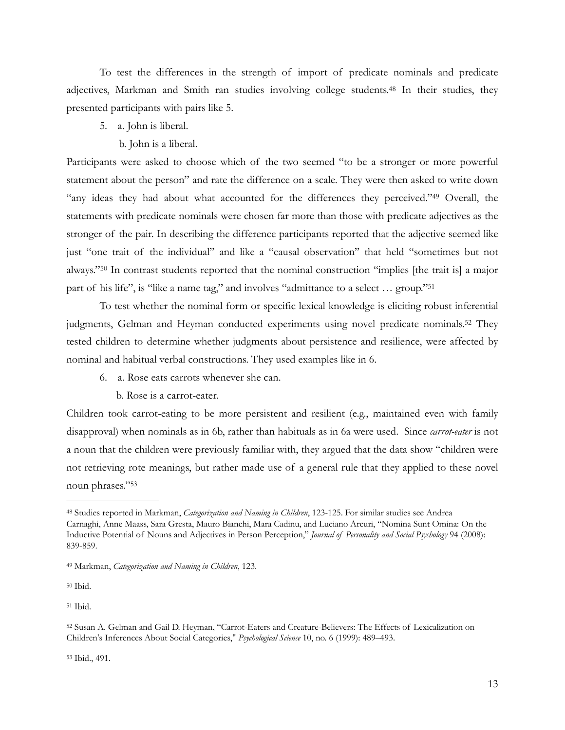To test the differences in the strength of import of predicate nominals and predicate adjectives, Markman and Smith ran studies involving college students.<sup>[48](#page-12-0)</sup> In their studies, they presented participants with pairs like 5.

# 5. a. John is liberal.

# <span id="page-12-7"></span><span id="page-12-6"></span>b. John is a liberal.

Participants were asked to choose which of the two seemed "to be a stronger or more powerful statement about the person" and rate the difference on a scale. They were then asked to write down "any ideas they had about what accounted for the differences they perceived."<sup>[49](#page-12-1)</sup> Overall, the statements with predicate nominals were chosen far more than those with predicate adjectives as the stronger of the pair. In describing the difference participants reported that the adjective seemed like just "one trait of the individual" and like a "causal observation" that held "sometimes but not always."<sup>[50](#page-12-2)</sup> In contrast students reported that the nominal construction "implies [the trait is] a major part of his life", is "like a name tag," and involves "admittance to a select … group."[51](#page-12-3)

<span id="page-12-8"></span> To test whether the nominal form or specific lexical knowledge is eliciting robust inferential judgments, Gelman and Heyman conducted experiments using novel predicate nominals.<sup>[52](#page-12-4)</sup> They tested children to determine whether judgments about persistence and resilience, were affected by nominal and habitual verbal constructions. They used examples like in 6.

6. a. Rose eats carrots whenever she can.

<span id="page-12-10"></span><span id="page-12-9"></span>b. Rose is a carrot-eater.

Children took carrot-eating to be more persistent and resilient (e.g., maintained even with family disapproval) when nominals as in 6b, rather than habituals as in 6a were used. Since *carrot-eater* is not a noun that the children were previously familiar with, they argued that the data show "children were not retrieving rote meanings, but rather made use of a general rule that they applied to these novel noun phrases.["53](#page-12-5)

<span id="page-12-2"></span> $50$  Ibid.

<span id="page-12-3"></span> $51$  Ibid.

<span id="page-12-11"></span><span id="page-12-0"></span>Studies reported in Markman, *Categorization and Naming in Children*, 123-125. For similar studies see Andrea [48](#page-12-6) Carnaghi, Anne Maass, Sara Gresta, Mauro Bianchi, Mara Cadinu, and Luciano Arcuri, "Nomina Sunt Omina: On the Inductive Potential of Nouns and Adjectives in Person Perception," *Journal of Personality and Social Psychology* 94 (2008): 839-859.

<span id="page-12-1"></span>Markman, *Categorization and Naming in Children*, 123. [49](#page-12-7)

<span id="page-12-5"></span><span id="page-12-4"></span>[<sup>52</sup>](#page-12-10) Susan A. Gelman and Gail D. Heyman, "Carrot-Eaters and Creature-Believers: The Effects of Lexicalization on Children's Inferences About Social Categories," *Psychological Science* 10, no. 6 (1999): 489–493.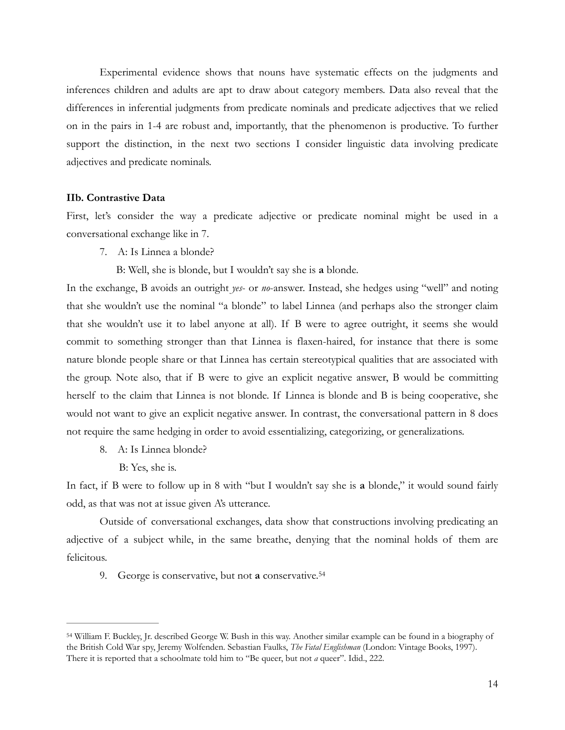Experimental evidence shows that nouns have systematic effects on the judgments and inferences children and adults are apt to draw about category members. Data also reveal that the differences in inferential judgments from predicate nominals and predicate adjectives that we relied on in the pairs in 1-4 are robust and, importantly, that the phenomenon is productive. To further support the distinction, in the next two sections I consider linguistic data involving predicate adjectives and predicate nominals.

## **IIb. Contrastive Data**

First, let's consider the way a predicate adjective or predicate nominal might be used in a conversational exchange like in 7.

7. A: Is Linnea a blonde?

B: Well, she is blonde, but I wouldn't say she is **a** blonde.

In the exchange, B avoids an outright *yes*- or *no*-answer. Instead, she hedges using "well" and noting that she wouldn't use the nominal "a blonde" to label Linnea (and perhaps also the stronger claim that she wouldn't use it to label anyone at all). If B were to agree outright, it seems she would commit to something stronger than that Linnea is flaxen-haired, for instance that there is some nature blonde people share or that Linnea has certain stereotypical qualities that are associated with the group. Note also, that if B were to give an explicit negative answer, B would be committing herself to the claim that Linnea is not blonde. If Linnea is blonde and B is being cooperative, she would not want to give an explicit negative answer. In contrast, the conversational pattern in 8 does not require the same hedging in order to avoid essentializing, categorizing, or generalizations.

- 8. A: Is Linnea blonde?
	- B: Yes, she is.

In fact, if B were to follow up in 8 with "but I wouldn't say she is **a** blonde," it would sound fairly odd, as that was not at issue given A's utterance.

 Outside of conversational exchanges, data show that constructions involving predicating an adjective of a subject while, in the same breathe, denying that the nominal holds of them are felicitous.

<span id="page-13-1"></span>9. George is conservative, but not **a** conservative[.54](#page-13-0)

<span id="page-13-0"></span>William F. Buckley, Jr. described George W. Bush in this way. Another similar example can be found in a biography of [54](#page-13-1) the British Cold War spy, Jeremy Wolfenden. Sebastian Faulks, *The Fatal Englishman* (London: Vintage Books, 1997). There it is reported that a schoolmate told him to "Be queer, but not *a* queer". Idid., 222.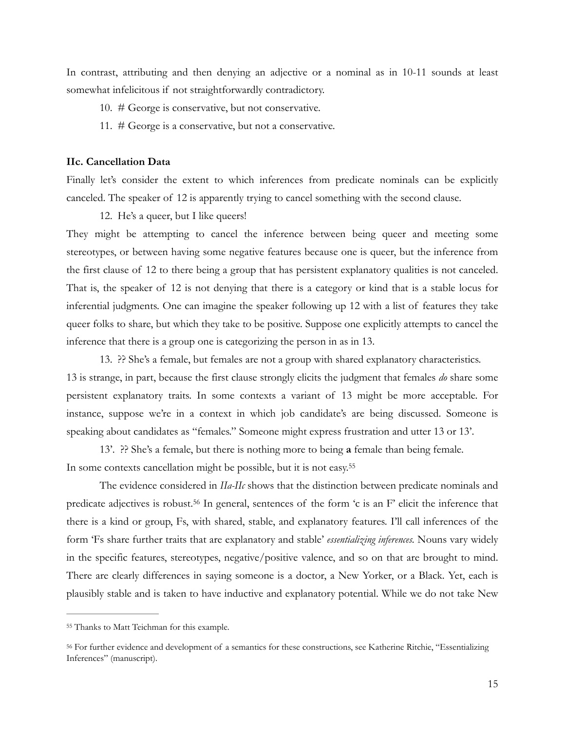In contrast, attributing and then denying an adjective or a nominal as in 10-11 sounds at least somewhat infelicitous if not straightforwardly contradictory.

- 10. # George is conservative, but not conservative.
- 11. # George is a conservative, but not a conservative.

# **IIc. Cancellation Data**

Finally let's consider the extent to which inferences from predicate nominals can be explicitly canceled. The speaker of 12 is apparently trying to cancel something with the second clause.

#### 12. He's a queer, but I like queers!

They might be attempting to cancel the inference between being queer and meeting some stereotypes, or between having some negative features because one is queer, but the inference from the first clause of 12 to there being a group that has persistent explanatory qualities is not canceled. That is, the speaker of 12 is not denying that there is a category or kind that is a stable locus for inferential judgments. One can imagine the speaker following up 12 with a list of features they take queer folks to share, but which they take to be positive. Suppose one explicitly attempts to cancel the inference that there is a group one is categorizing the person in as in 13.

13. ?? She's a female, but females are not a group with shared explanatory characteristics. 13 is strange, in part, because the first clause strongly elicits the judgment that females *do* share some persistent explanatory traits. In some contexts a variant of 13 might be more acceptable. For instance, suppose we're in a context in which job candidate's are being discussed. Someone is speaking about candidates as "females." Someone might express frustration and utter 13 or 13'.

<span id="page-14-2"></span> 13'. ?? She's a female, but there is nothing more to being **a** female than being female. In some contexts cancellation might be possible, but it is not easy.[55](#page-14-0)

<span id="page-14-3"></span> The evidence considered in *IIa-IIc* shows that the distinction between predicate nominals and predicate adjectives is robust.<sup>[56](#page-14-1)</sup> In general, sentences of the form  $\epsilon$  is an F' elicit the inference that there is a kind or group, Fs, with shared, stable, and explanatory features. I'll call inferences of the form 'Fs share further traits that are explanatory and stable' *essentializing inferences.* Nouns vary widely in the specific features, stereotypes, negative/positive valence, and so on that are brought to mind. There are clearly differences in saying someone is a doctor, a New Yorker, or a Black. Yet, each is plausibly stable and is taken to have inductive and explanatory potential. While we do not take New

<span id="page-14-0"></span>[<sup>55</sup>](#page-14-2) Thanks to Matt Teichman for this example.

<span id="page-14-1"></span>For further evidence and development of a semantics for these constructions, see Katherine Ritchie, "Essentializing [56](#page-14-3) Inferences" (manuscript).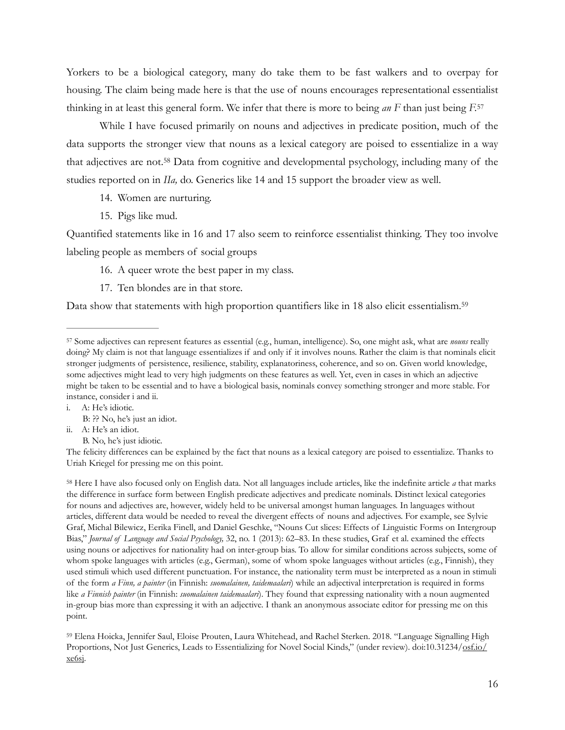Yorkers to be a biological category, many do take them to be fast walkers and to overpay for housing. The claim being made here is that the use of nouns encourages representational essentialist thinking in at least this general form. We infer that there is more to being *an F* than just being *F.*[57](#page-15-0)

While I have focused primarily on nouns and adjectives in predicate position, much of the data supports the stronger view that nouns as a lexical category are poised to essentialize in a way that adjectives are not.<sup>[58](#page-15-1)</sup> Data from cognitive and developmental psychology, including many of the studies reported on in *IIa,* do. Generics like 14 and 15 support the broader view as well.

- <span id="page-15-4"></span><span id="page-15-3"></span>14. Women are nurturing.
- 15. Pigs like mud.

Quantified statements like in 16 and 17 also seem to reinforce essentialist thinking. They too involve labeling people as members of social groups

- 16. A queer wrote the best paper in my class.
- <span id="page-15-5"></span>17. Ten blondes are in that store.

Data show that statements with high proportion quantifiers like in 18 also elicit essentialism[.59](#page-15-2)

- ii. A: He's an idiot.
	- B. No, he's just idiotic.

The felicity differences can be explained by the fact that nouns as a lexical category are poised to essentialize. Thanks to Uriah Kriegel for pressing me on this point.

<span id="page-15-1"></span><sup>[58](#page-15-4)</sup> Here I have also focused only on English data. Not all languages include articles, like the indefinite article *a* that marks the difference in surface form between English predicate adjectives and predicate nominals. Distinct lexical categories for nouns and adjectives are, however, widely held to be universal amongst human languages. In languages without articles, different data would be needed to reveal the divergent effects of nouns and adjectives. For example, see Sylvie Graf, Michal Bilewicz, Eerika Finell, and Daniel Geschke, "Nouns Cut slices: Effects of Linguistic Forms on Intergroup Bias," *Journal of Language and Social Psychology,* 32, no. 1 (2013): 62–83. In these studies, Graf et al. examined the effects using nouns or adjectives for nationality had on inter-group bias. To allow for similar conditions across subjects, some of whom spoke languages with articles (e.g., German), some of whom spoke languages without articles (e.g., Finnish), they used stimuli which used different punctuation. For instance, the nationality term must be interpreted as a noun in stimuli of the form *a Finn, a painter* (in Finnish: *suomalainen, taidemaalari*) while an adjectival interpretation is required in forms like *a Finnish painter* (in Finnish: *suomalainen taidemaalari*). They found that expressing nationality with a noun augmented in-group bias more than expressing it with an adjective. I thank an anonymous associate editor for pressing me on this point.

<span id="page-15-2"></span><sup>[59](#page-15-5)</sup> Elena Hoicka, Jennifer Saul, Eloise Prouten, Laura Whitehead, and Rachel Sterken. 2018. "Language Signalling High Proportions, Not Just Generics, Leads to Essentializing for Novel Social Kinds," (under review). doi:10.31234/[osf.io/](http://osf.io/xe6sj) [xe6sj](http://osf.io/xe6sj).

<span id="page-15-0"></span><sup>&</sup>lt;sup>[57](#page-15-3)</sup> Some adjectives can represent features as essential (e.g., human, intelligence). So, one might ask, what are *nouns* really doing? My claim is not that language essentializes if and only if it involves nouns. Rather the claim is that nominals elicit stronger judgments of persistence, resilience, stability, explanatoriness, coherence, and so on. Given world knowledge, some adjectives might lead to very high judgments on these features as well. Yet, even in cases in which an adjective might be taken to be essential and to have a biological basis, nominals convey something stronger and more stable. For instance, consider i and ii.

i. A: He's idiotic.

B: ?? No, he's just an idiot.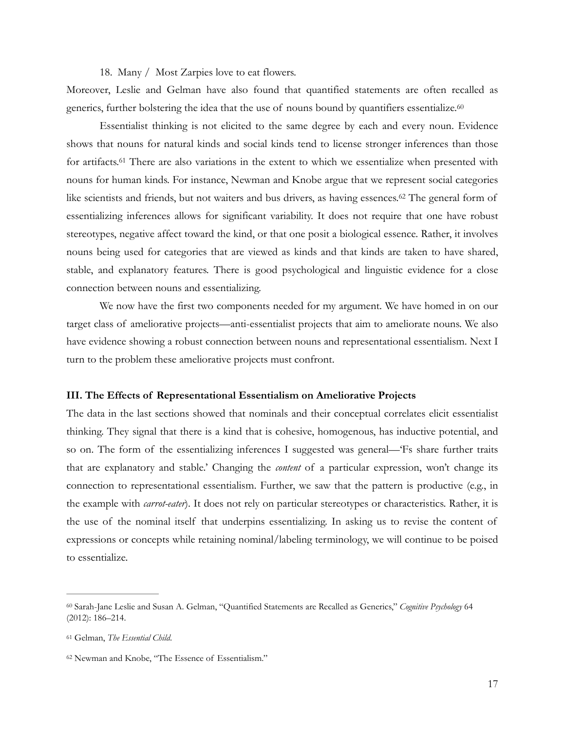<span id="page-16-5"></span><span id="page-16-3"></span>18. Many / Most Zarpies love to eat flowers.

Moreover, Leslie and Gelman have also found that quantified statements are often recalled as generics, further bolstering the idea that the use of nouns bound by quantifiers essentialize.<sup>60</sup>

<span id="page-16-4"></span>Essentialist thinking is not elicited to the same degree by each and every noun. Evidence shows that nouns for natural kinds and social kinds tend to license stronger inferences than those for artifacts.<sup>[61](#page-16-1)</sup> There are also variations in the extent to which we essentialize when presented with nouns for human kinds. For instance, Newman and Knobe argue that we represent social categories like scientists and friends, but not waiters and bus drivers, as having essences. $62$  The general form of essentializing inferences allows for significant variability. It does not require that one have robust stereotypes, negative affect toward the kind, or that one posit a biological essence. Rather, it involves nouns being used for categories that are viewed as kinds and that kinds are taken to have shared, stable, and explanatory features. There is good psychological and linguistic evidence for a close connection between nouns and essentializing.

 We now have the first two components needed for my argument. We have homed in on our target class of ameliorative projects—anti-essentialist projects that aim to ameliorate nouns. We also have evidence showing a robust connection between nouns and representational essentialism. Next I turn to the problem these ameliorative projects must confront.

#### **III. The Effects of Representational Essentialism on Ameliorative Projects**

The data in the last sections showed that nominals and their conceptual correlates elicit essentialist thinking. They signal that there is a kind that is cohesive, homogenous, has inductive potential, and so on. The form of the essentializing inferences I suggested was general—'Fs share further traits that are explanatory and stable.' Changing the *content* of a particular expression, won't change its connection to representational essentialism. Further, we saw that the pattern is productive (e.g., in the example with *carrot-eater*). It does not rely on particular stereotypes or characteristics. Rather, it is the use of the nominal itself that underpins essentializing. In asking us to revise the content of expressions or concepts while retaining nominal/labeling terminology, we will continue to be poised to essentialize.

<span id="page-16-0"></span><sup>&</sup>lt;sup>[60](#page-16-3)</sup> Sarah-Jane Leslie and Susan A. Gelman, "Quantified Statements are Recalled as Generics," *Cognitive Psychology* 64 (2012): 186–214.

<span id="page-16-1"></span>Gelman, *The Essential Child*. [61](#page-16-4)

<span id="page-16-2"></span>[<sup>62</sup>](#page-16-5) Newman and Knobe, "The Essence of Essentialism."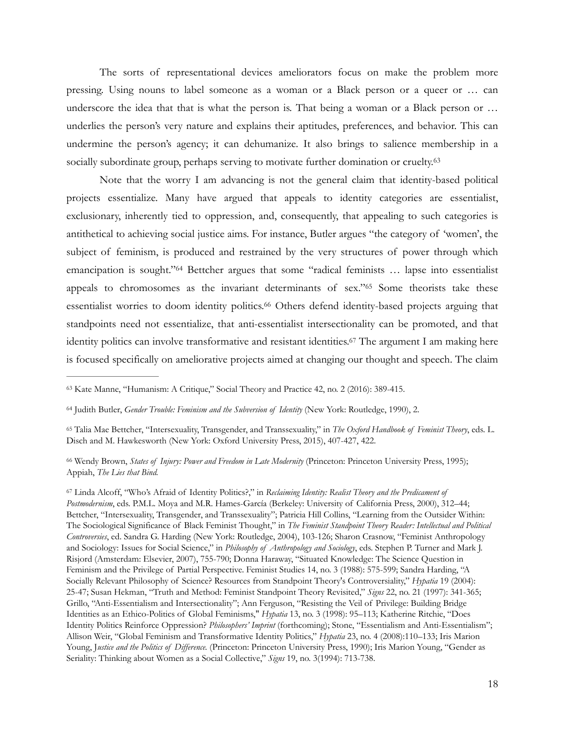The sorts of representational devices ameliorators focus on make the problem more pressing. Using nouns to label someone as a woman or a Black person or a queer or … can underscore the idea that that is what the person is. That being a woman or a Black person or ... underlies the person's very nature and explains their aptitudes, preferences, and behavior. This can undermine the person's agency; it can dehumanize. It also brings to salience membership in a socially subordinate group, perhaps serving to motivate further domination or cruelty.<sup>[63](#page-17-0)</sup>

<span id="page-17-6"></span><span id="page-17-5"></span> Note that the worry I am advancing is not the general claim that identity-based political projects essentialize. Many have argued that appeals to identity categories are essentialist, exclusionary, inherently tied to oppression, and, consequently, that appealing to such categories is antithetical to achieving social justice aims. For instance, Butler argues "the category of 'women', the subject of feminism, is produced and restrained by the very structures of power through which emancipation is sought."<sup>[64](#page-17-1)</sup> Bettcher argues that some "radical feminists ... lapse into essentialist appeals to chromosomes as the invariant determinants of  $sex." 65$  $sex." 65$  $sex." 65$  Some theorists take these essentialist worries to doom identity politics.<sup>[66](#page-17-3)</sup> Others defend identity-based projects arguing that standpoints need not essentialize, that anti-essentialist intersectionality can be promoted, and that identity politics can involve transformative and resistant identities.<sup>[67](#page-17-4)</sup> The argument I am making here is focused specifically on ameliorative projects aimed at changing our thought and speech. The claim

<span id="page-17-3"></span><sup>[66](#page-17-8)</sup> Wendy Brown, *States of Injury: Power and Freedom in Late Modernity (Princeton: Princeton University Press, 1995);* Appiah, *The Lies that Bind.* 

<span id="page-17-4"></span> Linda Alcoff, "Who's Afraid of Identity Politics?," in *Reclaiming Identity: Realist Theory and the Predicament of* [67](#page-17-9) *Postmodernism*, eds. P.M.L. Moya and M.R. Hames-García (Berkeley: University of California Press, 2000), 312–44; Bettcher, "Intersexuality, Transgender, and Transsexuality"; Patricia Hill Collins, "Learning from the Outsider Within: The Sociological Significance of Black Feminist Thought," in *The Feminist Standpoint Theory Reader: Intellectual and Political Controversies*, ed. Sandra G. Harding (New York: Routledge, 2004), 103-126; Sharon Crasnow, "Feminist Anthropology and Sociology: Issues for Social Science," in *Philosophy of Anthropology and Sociology*, eds. Stephen P. Turner and Mark J. Risjord (Amsterdam: Elsevier, 2007), 755-790; Donna Haraway, "Situated Knowledge: The Science Question in Feminism and the Privilege of Partial Perspective. Feminist Studies 14, no. 3 (1988): 575-599; Sandra Harding, "A Socially Relevant Philosophy of Science? Resources from Standpoint Theory's Controversiality," *Hypatia* 19 (2004): 25-47; Susan Hekman, "Truth and Method: Feminist Standpoint Theory Revisited," *Signs* 22, no. 21 (1997): 341-365; Grillo, "Anti-Essentialism and Intersectionality"; Ann Ferguson, "Resisting the Veil of Privilege: Building Bridge Identities as an Ethico-Politics of Global Feminisms," *Hypatia* 13, no. 3 (1998): 95–113; Katherine Ritchie, "Does Identity Politics Reinforce Oppression? *Philosophers' Imprint* (forthcoming); Stone, "Essentialism and Anti-Essentialism"; Allison Weir, "Global Feminism and Transformative Identity Politics," *Hypatia* 23, no. 4 (2008):110–133; Iris Marion Young, Justice and the Politics of Difference. (Princeton: Princeton University Press, 1990); Iris Marion Young, "Gender as Seriality: Thinking about Women as a Social Collective," *Signs* 19, no. 3(1994): 713-738.

<span id="page-17-9"></span><span id="page-17-8"></span><span id="page-17-7"></span><span id="page-17-0"></span><sup>&</sup>lt;sup>[63](#page-17-5)</sup> Kate Manne, "Humanism: A Critique," Social Theory and Practice 42, no. 2 (2016): 389-415.

<span id="page-17-1"></span><sup>&</sup>lt;sup>[64](#page-17-6)</sup> Judith Butler, *Gender Trouble: Feminism and the Subversion of Identity* (New York: Routledge, 1990), 2.

<span id="page-17-2"></span>Talia Mae Bettcher, "Intersexuality, Transgender, and Transsexuality," in *The Oxford Handbook of Feminist Theory*, eds. L. [65](#page-17-7) Disch and M. Hawkesworth (New York: Oxford University Press, 2015), 407-427, 422.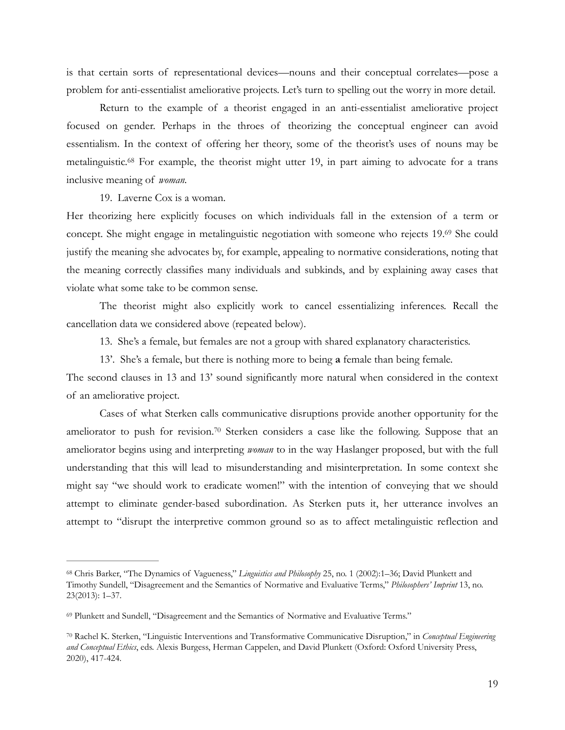is that certain sorts of representational devices—nouns and their conceptual correlates—pose a problem for anti-essentialist ameliorative projects. Let's turn to spelling out the worry in more detail.

 Return to the example of a theorist engaged in an anti-essentialist ameliorative project focused on gender. Perhaps in the throes of theorizing the conceptual engineer can avoid essentialism. In the context of offering her theory, some of the theorist's uses of nouns may be metalinguistic.<sup>[68](#page-18-0)</sup> For example, the theorist might utter 19, in part aiming to advocate for a trans inclusive meaning of *woman.*

<span id="page-18-4"></span><span id="page-18-3"></span>19. Laverne Cox is a woman.

Her theorizing here explicitly focuses on which individuals fall in the extension of a term or concept[.](#page-18-1) She might engage in metalinguistic negotiation with someone who rejects 19.[69](#page-18-1) She could justify the meaning she advocates by, for example, appealing to normative considerations, noting that the meaning correctly classifies many individuals and subkinds, and by explaining away cases that violate what some take to be common sense.

 The theorist might also explicitly work to cancel essentializing inferences. Recall the cancellation data we considered above (repeated below).

13. She's a female, but females are not a group with shared explanatory characteristics.

<span id="page-18-5"></span>13'. She's a female, but there is nothing more to being **a** female than being female.

The second clauses in 13 and 13' sound significantly more natural when considered in the context of an ameliorative project.

 Cases of what Sterken calls communicative disruptions provide another opportunity for the ameliorator to push for revision.<sup>[70](#page-18-2)</sup> Sterken considers a case like the following. Suppose that an ameliorator begins using and interpreting *woman* to in the way Haslanger proposed, but with the full understanding that this will lead to misunderstanding and misinterpretation. In some context she might say "we should work to eradicate women!" with the intention of conveying that we should attempt to eliminate gender-based subordination. As Sterken puts it, her utterance involves an attempt to "disrupt the interpretive common ground so as to affect metalinguistic reflection and

<span id="page-18-0"></span><sup>&</sup>lt;sup>[68](#page-18-3)</sup> Chris Barker, "The Dynamics of Vagueness," *Linguistics and Philosophy* 25, no. 1 (2002):1–36; David Plunkett and Timothy Sundell, "Disagreement and the Semantics of Normative and Evaluative Terms," *Philosophers' Imprint* 13, no. 23(2013): 1–37.

<span id="page-18-1"></span>[<sup>69</sup>](#page-18-4) Plunkett and Sundell, "Disagreement and the Semantics of Normative and Evaluative Terms."

<span id="page-18-2"></span>Rachel K. Sterken, "Linguistic Interventions and Transformative Communicative Disruption," in *Conceptual Engineering* [70](#page-18-5) *and Conceptual Ethics*, eds. Alexis Burgess, Herman Cappelen, and David Plunkett (Oxford: Oxford University Press, 2020), 417-424.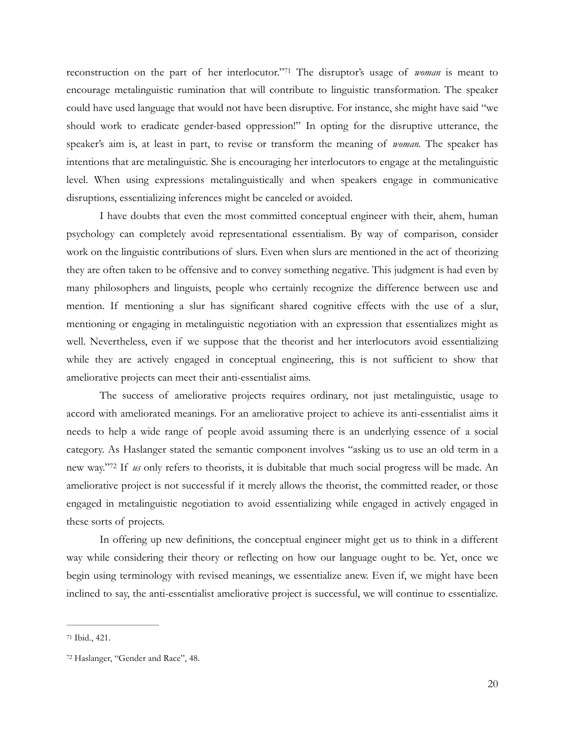<span id="page-19-2"></span>reconstruction on the part of her interlocutor."<sup>71</sup> The disruptor's usage of *woman* is meant to encourage metalinguistic rumination that will contribute to linguistic transformation. The speaker could have used language that would not have been disruptive. For instance, she might have said "we should work to eradicate gender-based oppression!" In opting for the disruptive utterance, the speaker's aim is, at least in part, to revise or transform the meaning of *woman.* The speaker has intentions that are metalinguistic. She is encouraging her interlocutors to engage at the metalinguistic level. When using expressions metalinguistically and when speakers engage in communicative disruptions, essentializing inferences might be canceled or avoided.

 I have doubts that even the most committed conceptual engineer with their, ahem, human psychology can completely avoid representational essentialism. By way of comparison, consider work on the linguistic contributions of slurs. Even when slurs are mentioned in the act of theorizing they are often taken to be offensive and to convey something negative. This judgment is had even by many philosophers and linguists, people who certainly recognize the difference between use and mention. If mentioning a slur has significant shared cognitive effects with the use of a slur, mentioning or engaging in metalinguistic negotiation with an expression that essentializes might as well. Nevertheless, even if we suppose that the theorist and her interlocutors avoid essentializing while they are actively engaged in conceptual engineering, this is not sufficient to show that ameliorative projects can meet their anti-essentialist aims.

<span id="page-19-3"></span> The success of ameliorative projects requires ordinary, not just metalinguistic, usage to accord with ameliorated meanings. For an ameliorative project to achieve its anti-essentialist aims it needs to help a wide range of people avoid assuming there is an underlying essence of a social category. As Haslanger stated the semantic component involves "asking us to use an old term in a new way."<sup>72</sup> If *us* only refers to theorists, it is dubitable that much social progress will be made. An ameliorative project is not successful if it merely allows the theorist, the committed reader, or those engaged in metalinguistic negotiation to avoid essentializing while engaged in actively engaged in these sorts of projects.

 In offering up new definitions, the conceptual engineer might get us to think in a different way while considering their theory or reflecting on how our language ought to be. Yet, once we begin using terminology with revised meanings, we essentialize anew. Even if, we might have been inclined to say, the anti-essentialist ameliorative project is successful, we will continue to essentialize.

<span id="page-19-0"></span>[<sup>71</sup>](#page-19-2) Ibid., 421.

<span id="page-19-1"></span>[<sup>72</sup>](#page-19-3) Haslanger, "Gender and Race", 48.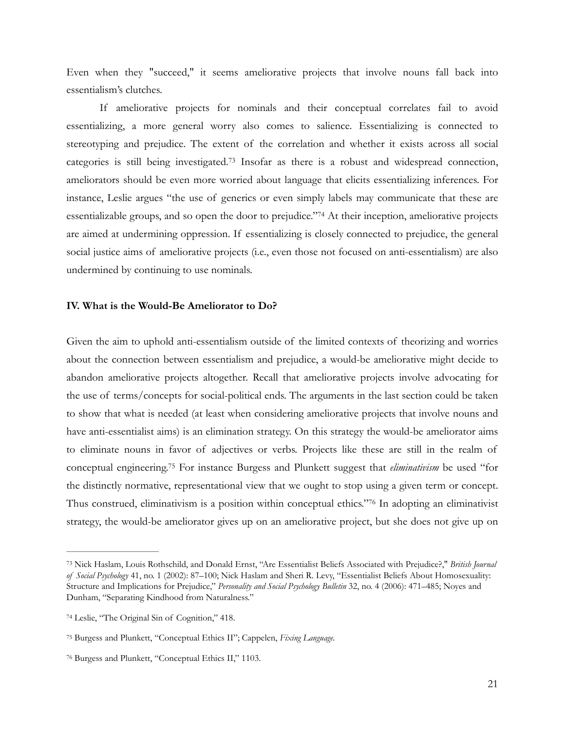Even when they "succeed," it seems ameliorative projects that involve nouns fall back into essentialism's clutches.

<span id="page-20-4"></span> If ameliorative projects for nominals and their conceptual correlates fail to avoid essentializing, a more general worry also comes to salience. Essentializing is connected to stereotyping and prejudice. The extent of the correlation and whether it exists across all social categories is still being investigated.<sup>[73](#page-20-0)</sup> Insofar as there is a robust and widespread connection, ameliorators should be even more worried about language that elicits essentializing inferences. For instance, Leslie argues "the use of generics or even simply labels may communicate that these are essentializable groups, and so open the door to prejudice."<sup>[74](#page-20-1)</sup> At their inception, ameliorative projects are aimed at undermining oppression. If essentializing is closely connected to prejudice, the general social justice aims of ameliorative projects (i.e., even those not focused on anti-essentialism) are also undermined by continuing to use nominals.

# <span id="page-20-5"></span>**IV. What is the Would-Be Ameliorator to Do?**

Given the aim to uphold anti-essentialism outside of the limited contexts of theorizing and worries about the connection between essentialism and prejudice, a would-be ameliorative might decide to abandon ameliorative projects altogether. Recall that ameliorative projects involve advocating for the use of terms/concepts for social-political ends. The arguments in the last section could be taken to show that what is needed (at least when considering ameliorative projects that involve nouns and have anti-essentialist aims) is an elimination strategy. On this strategy the would-be ameliorator aims to eliminate nouns in favor of adjectives or verbs. Projects like these are still in the realm of conceptual engineering.<sup>75</sup> For instance Burgess and Plunkett suggest that *eliminativism* be used "for the distinctly normative, representational view that we ought to stop using a given term or concept. Thus construed, eliminativism is a position within conceptual ethics."<sup>[76](#page-20-3)</sup> In adopting an eliminativist strategy, the would-be ameliorator gives up on an ameliorative project, but she does not give up on

<span id="page-20-7"></span><span id="page-20-6"></span><span id="page-20-0"></span>Nick Haslam, Louis Rothschild, and Donald Ernst, "Are Essentialist Beliefs Associated with Prejudice?," *British Journal* [73](#page-20-4) *of Social Psychology* 41, no. 1 (2002): 87–100; Nick Haslam and Sheri R. Levy, "Essentialist Beliefs About Homosexuality: Structure and Implications for Prejudice," *Personality and Social Psychology Bulletin* 32, no. 4 (2006): 471–485; Noyes and Dunham, "Separating Kindhood from Naturalness."

<span id="page-20-1"></span><sup>&</sup>lt;sup>[74](#page-20-5)</sup> Leslie, "The Original Sin of Cognition," 418.

<span id="page-20-2"></span>Burgess and Plunkett, "Conceptual Ethics II"; Cappelen, *Fixing Language.* [75](#page-20-6)

<span id="page-20-3"></span><sup>&</sup>lt;sup>[76](#page-20-7)</sup> Burgess and Plunkett, "Conceptual Ethics II," 1103.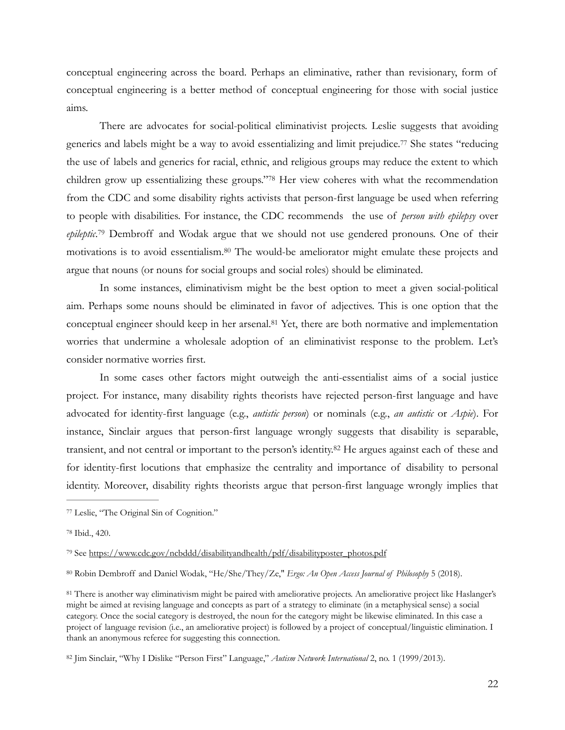conceptual engineering across the board. Perhaps an eliminative, rather than revisionary, form of conceptual engineering is a better method of conceptual engineering for those with social justice aims.

<span id="page-21-7"></span><span id="page-21-6"></span> There are advocates for social-political eliminativist projects. Leslie suggests that avoiding generics and labels might be a way to avoid essentializing and limit prejudice.<sup>[77](#page-21-0)</sup> She states "reducing the use of labels and generics for racial, ethnic, and religious groups may reduce the extent to which children grow up essentializing these groups."[78](#page-21-1) Her view coheres with what the recommendation from the CDC and some disability rights activists that person-first language be used when referring to people with disabilities. For instance, the CDC recommends the use of *person with epilepsy* over *epileptic*.<sup>79</sup> Dembroff and Wodak argue that we should not use gendered pronouns[.](#page-21-2) One of their motivations is to avoid essentialism.<sup>[80](#page-21-3)</sup> The would-be ameliorator might emulate these projects and argue that nouns (or nouns for social groups and social roles) should be eliminated.

<span id="page-21-10"></span><span id="page-21-9"></span><span id="page-21-8"></span> In some instances, eliminativism might be the best option to meet a given social-political aim. Perhaps some nouns should be eliminated in favor of adjectives. This is one option that the conceptual engineer should keep in her arsenal.<sup>[81](#page-21-4)</sup> Yet, there are both normative and implementation worries that undermine a wholesale adoption of an eliminativist response to the problem. Let's consider normative worries first.

 In some cases other factors might outweigh the anti-essentialist aims of a social justice project. For instance, many disability rights theorists have rejected person-first language and have advocated for identity-first language (e.g., *autistic person*) or nominals (e.g., *an autistic* or *Aspie*). For instance, Sinclair argues that person-first language wrongly suggests that disability is separable, transient, and not central or important to the person's identity.<sup>[82](#page-21-5)</sup> He argues against each of these and for identity-first locutions that emphasize the centrality and importance of disability to personal identity. Moreover, disability rights theorists argue that person-first language wrongly implies that

<span id="page-21-3"></span>Robin Dembroff and Daniel Wodak, "He/She/They/Ze," *Ergo: An Open Access Journal of Philosophy* 5 (2018). [80](#page-21-9)

<span id="page-21-11"></span><span id="page-21-0"></span>[<sup>77</sup>](#page-21-6) Leslie, "The Original Sin of Cognition."

<span id="page-21-1"></span><sup>&</sup>lt;sup>[78](#page-21-7)</sup> Ibid., 420.

<span id="page-21-2"></span><sup>&</sup>lt;sup>79</sup> See [https://www.cdc.gov/ncbddd/disabilityandhealth/pdf/disabilityposter\\_photos.pdf](https://www.cdc.gov/ncbddd/disabilityandhealth/pdf/disabilityposter_photos.pdf)

<span id="page-21-4"></span>There is another way eliminativism might be paired with ameliorative projects. An ameliorative project like Haslanger's [81](#page-21-10) might be aimed at revising language and concepts as part of a strategy to eliminate (in a metaphysical sense) a social category. Once the social category is destroyed, the noun for the category might be likewise eliminated. In this case a project of language revision (i.e., an ameliorative project) is followed by a project of conceptual/linguistic elimination. I thank an anonymous referee for suggesting this connection.

<span id="page-21-5"></span>[<sup>82</sup>](#page-21-11) Jim Sinclair, "Why I Dislike "Person First" Language," *Autism Network International* 2, no. 1 (1999/2013).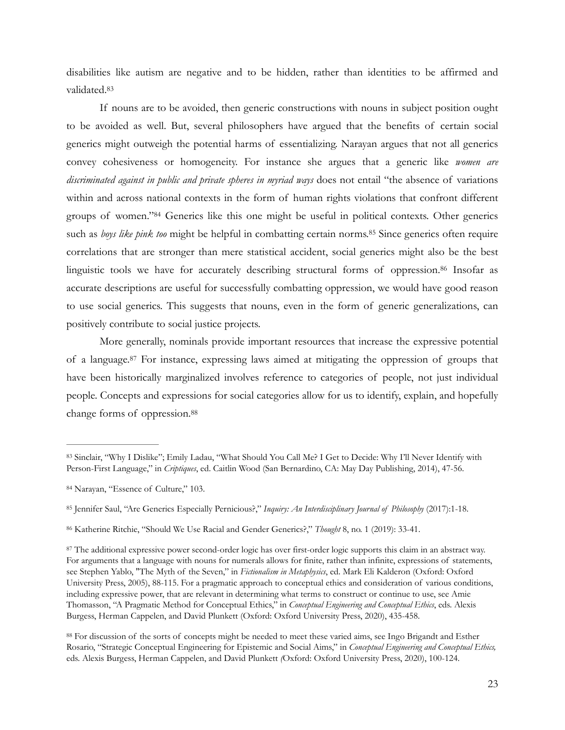<span id="page-22-6"></span>disabilities like autism are negative and to be hidden, rather than identities to be affirmed and validated.[83](#page-22-0)

<span id="page-22-7"></span>If nouns are to be avoided, then generic constructions with nouns in subject position ought to be avoided as well. But, several philosophers have argued that the benefits of certain social generics might outweigh the potential harms of essentializing. Narayan argues that not all generics convey cohesiveness or homogeneity. For instance she argues that a generic like *women are discriminated against in public and private spheres in myriad ways* does not entail "the absence of variations within and across national contexts in the form of human rights violations that confront different groups of women."<sup>[84](#page-22-1)</sup> Generics like this one might be useful in political contexts. Other generics such as *boys like pink too* might be helpful in combatting certain norms.<sup>[85](#page-22-2)</sup> Since generics often require correlations that are stronger than mere statistical accident, social generics might also be the best linguistic tools we have for accurately describing structural forms of oppression.<sup>[86](#page-22-3)</sup> Insofar as accurate descriptions are useful for successfully combatting oppression, we would have good reason to use social generics. This suggests that nouns, even in the form of generic generalizations, can positively contribute to social justice projects.

<span id="page-22-10"></span><span id="page-22-9"></span><span id="page-22-8"></span> More generally, nominals provide important resources that increase the expressive potential of a language.<sup>[87](#page-22-4)</sup> For instance, expressing laws aimed at mitigating the oppression of groups that have been historically marginalized involves reference to categories of people, not just individual people. Concepts and expressions for social categories allow for us to identify, explain, and hopefully change forms of oppression.[88](#page-22-5)

<span id="page-22-11"></span><span id="page-22-0"></span>[<sup>83</sup>](#page-22-6) Sinclair, "Why I Dislike"; Emily Ladau, "What Should You Call Me? I Get to Decide: Why I'll Never Identify with Person-First Language," in *Criptiques*, ed. Caitlin Wood (San Bernardino, CA: May Day Publishing, 2014), 47-56.

<span id="page-22-1"></span>[<sup>84</sup>](#page-22-7) Narayan, "Essence of Culture," 103.

<span id="page-22-2"></span>[<sup>85</sup>](#page-22-8) Jennifer Saul, "Are Generics Especially Pernicious?," Inquiry: An Interdisciplinary Journal of Philosophy (2017):1-18.

<span id="page-22-3"></span><sup>&</sup>lt;sup>[86](#page-22-9)</sup> Katherine Ritchie, "Should We Use Racial and Gender Generics?," *Thought* 8, no. 1 (2019): 33-41.

<span id="page-22-4"></span>The additional expressive power second-order logic has over first-order logic supports this claim in an abstract way. [87](#page-22-10) For arguments that a language with nouns for numerals allows for finite, rather than infinite, expressions of statements, see Stephen Yablo, "The Myth of the Seven," in *Fictionalism in Metaphysics*, ed. Mark Eli Kalderon (Oxford: Oxford University Press, 2005), 88-115. For a pragmatic approach to conceptual ethics and consideration of various conditions, including expressive power, that are relevant in determining what terms to construct or continue to use, see Amie Thomasson, "A Pragmatic Method for Conceptual Ethics," in *Conceptual Engineering and Conceptual Ethics*, eds. Alexis Burgess, Herman Cappelen, and David Plunkett (Oxford: Oxford University Press, 2020), 435-458.

<span id="page-22-5"></span><sup>&</sup>lt;sup>[88](#page-22-11)</sup> For discussion of the sorts of concepts might be needed to meet these varied aims, see Ingo Brigandt and Esther Rosario, "Strategic Conceptual Engineering for Epistemic and Social Aims," in *Conceptual Engineering and Conceptual Ethics,*  eds. Alexis Burgess, Herman Cappelen, and David Plunkett *(*Oxford: Oxford University Press, 2020), 100-124.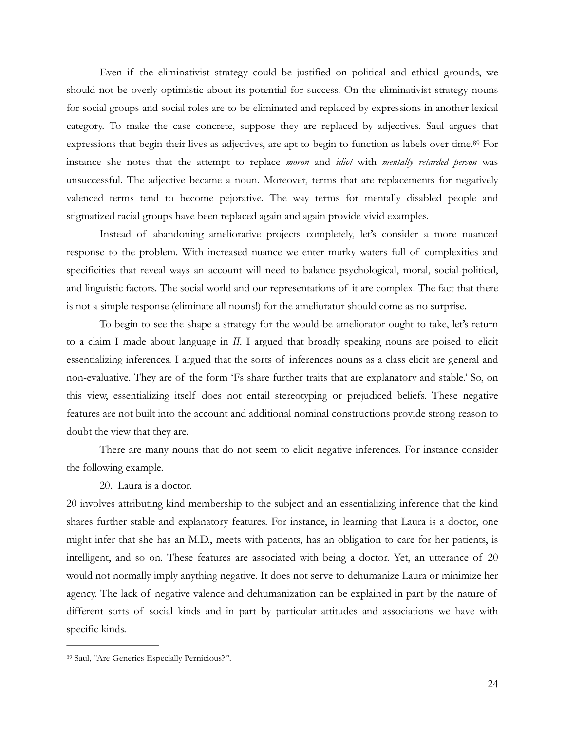<span id="page-23-1"></span> Even if the eliminativist strategy could be justified on political and ethical grounds, we should not be overly optimistic about its potential for success. On the eliminativist strategy nouns for social groups and social roles are to be eliminated and replaced by expressions in another lexical category. To make the case concrete, suppose they are replaced by adjectives. Saul argues that expressions that begin their lives as adjectives, are apt to begin to function as labels over time.<sup>[89](#page-23-0)</sup> For instance she notes that the attempt to replace *moron* and *idiot* with *mentally retarded person* was unsuccessful. The adjective became a noun. Moreover, terms that are replacements for negatively valenced terms tend to become pejorative. The way terms for mentally disabled people and stigmatized racial groups have been replaced again and again provide vivid examples.

 Instead of abandoning ameliorative projects completely, let's consider a more nuanced response to the problem. With increased nuance we enter murky waters full of complexities and specificities that reveal ways an account will need to balance psychological, moral, social-political, and linguistic factors. The social world and our representations of it are complex. The fact that there is not a simple response (eliminate all nouns!) for the ameliorator should come as no surprise.

 To begin to see the shape a strategy for the would-be ameliorator ought to take, let's return to a claim I made about language in *II.* I argued that broadly speaking nouns are poised to elicit essentializing inferences. I argued that the sorts of inferences nouns as a class elicit are general and non-evaluative. They are of the form 'Fs share further traits that are explanatory and stable.' So, on this view, essentializing itself does not entail stereotyping or prejudiced beliefs. These negative features are not built into the account and additional nominal constructions provide strong reason to doubt the view that they are.

 There are many nouns that do not seem to elicit negative inferences. For instance consider the following example.

20. Laura is a doctor.

20 involves attributing kind membership to the subject and an essentializing inference that the kind shares further stable and explanatory features. For instance, in learning that Laura is a doctor, one might infer that she has an M.D., meets with patients, has an obligation to care for her patients, is intelligent, and so on. These features are associated with being a doctor. Yet, an utterance of 20 would not normally imply anything negative. It does not serve to dehumanize Laura or minimize her agency. The lack of negative valence and dehumanization can be explained in part by the nature of different sorts of social kinds and in part by particular attitudes and associations we have with specific kinds.

<span id="page-23-0"></span>[<sup>89</sup>](#page-23-1) Saul, "Are Generics Especially Pernicious?".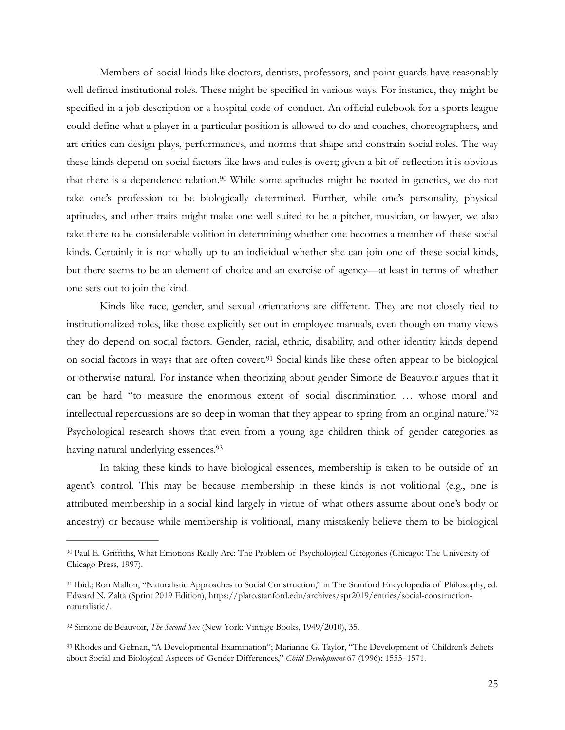<span id="page-24-4"></span> Members of social kinds like doctors, dentists, professors, and point guards have reasonably well defined institutional roles. These might be specified in various ways. For instance, they might be specified in a job description or a hospital code of conduct. An official rulebook for a sports league could define what a player in a particular position is allowed to do and coaches, choreographers, and art critics can design plays, performances, and norms that shape and constrain social roles. The way these kinds depend on social factors like laws and rules is overt; given a bit of reflection it is obvious that there is a dependence relation.<sup>[90](#page-24-0)</sup> While some aptitudes might be rooted in genetics, we do not take one's profession to be biologically determined. Further, while one's personality, physical aptitudes, and other traits might make one well suited to be a pitcher, musician, or lawyer, we also take there to be considerable volition in determining whether one becomes a member of these social kinds. Certainly it is not wholly up to an individual whether she can join one of these social kinds, but there seems to be an element of choice and an exercise of agency—at least in terms of whether one sets out to join the kind.

<span id="page-24-5"></span> Kinds like race, gender, and sexual orientations are different. They are not closely tied to institutionalized roles, like those explicitly set out in employee manuals, even though on many views they do depend on social factors. Gender, racial, ethnic, disability, and other identity kinds depend on social factors in ways that are often covert.<sup>[91](#page-24-1)</sup> Social kinds like these often appear to be biological or otherwise natural. For instance when theorizing about gender Simone de Beauvoir argues that it can be hard "to measure the enormous extent of social discrimination … whose moral and intellectual repercussions are so deep in woman that they appear to spring from an original nature.["92](#page-24-2) Psychological research shows that even from a young age children think of gender categories as having natural underlying essences[.93](#page-24-3)

<span id="page-24-7"></span><span id="page-24-6"></span> In taking these kinds to have biological essences, membership is taken to be outside of an agent's control. This may be because membership in these kinds is not volitional (e.g., one is attributed membership in a social kind largely in virtue of what others assume about one's body or ancestry) or because while membership is volitional, many mistakenly believe them to be biological

<span id="page-24-0"></span><sup>&</sup>lt;sup>[90](#page-24-4)</sup> Paul E. Griffiths, What Emotions Really Are: The Problem of Psychological Categories (Chicago: The University of Chicago Press, 1997).

<span id="page-24-1"></span><sup>&</sup>lt;sup>[91](#page-24-5)</sup> Ibid.; Ron Mallon, "Naturalistic Approaches to Social Construction," in The Stanford Encyclopedia of Philosophy, ed. Edward N. Zalta (Sprint 2019 Edition), https://plato.stanford.edu/archives/spr2019/entries/social-constructionnaturalistic/.

<span id="page-24-2"></span><sup>&</sup>lt;sup>[92](#page-24-6)</sup> Simone de Beauvoir, *The Second Sex* (New York: Vintage Books, 1949/2010), 35.

<span id="page-24-3"></span>[<sup>93</sup>](#page-24-7) Rhodes and Gelman, "A Developmental Examination"; Marianne G. Taylor, "The Development of Children's Beliefs about Social and Biological Aspects of Gender Differences," *Child Development* 67 (1996): 1555–1571.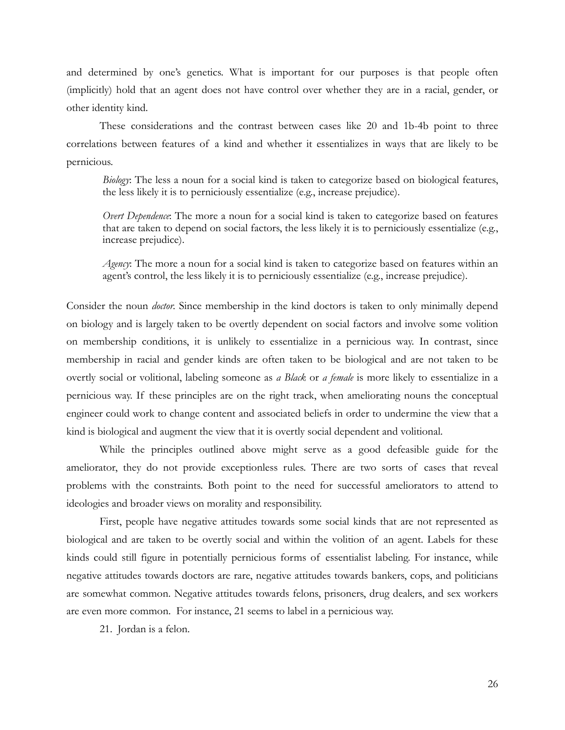and determined by one's genetics. What is important for our purposes is that people often (implicitly) hold that an agent does not have control over whether they are in a racial, gender, or other identity kind.

 These considerations and the contrast between cases like 20 and 1b-4b point to three correlations between features of a kind and whether it essentializes in ways that are likely to be pernicious.

*Biology*: The less a noun for a social kind is taken to categorize based on biological features, the less likely it is to perniciously essentialize (e.g., increase prejudice).

*Overt Dependence*: The more a noun for a social kind is taken to categorize based on features that are taken to depend on social factors, the less likely it is to perniciously essentialize (e.g., increase prejudice).

*Agency*: The more a noun for a social kind is taken to categorize based on features within an agent's control, the less likely it is to perniciously essentialize (e.g., increase prejudice).

Consider the noun *doctor.* Since membership in the kind doctors is taken to only minimally depend on biology and is largely taken to be overtly dependent on social factors and involve some volition on membership conditions, it is unlikely to essentialize in a pernicious way. In contrast, since membership in racial and gender kinds are often taken to be biological and are not taken to be overtly social or volitional, labeling someone as *a Black* or *a female* is more likely to essentialize in a pernicious way. If these principles are on the right track, when ameliorating nouns the conceptual engineer could work to change content and associated beliefs in order to undermine the view that a kind is biological and augment the view that it is overtly social dependent and volitional.

 While the principles outlined above might serve as a good defeasible guide for the ameliorator, they do not provide exceptionless rules. There are two sorts of cases that reveal problems with the constraints. Both point to the need for successful ameliorators to attend to ideologies and broader views on morality and responsibility.

 First, people have negative attitudes towards some social kinds that are not represented as biological and are taken to be overtly social and within the volition of an agent. Labels for these kinds could still figure in potentially pernicious forms of essentialist labeling. For instance, while negative attitudes towards doctors are rare, negative attitudes towards bankers, cops, and politicians are somewhat common. Negative attitudes towards felons, prisoners, drug dealers, and sex workers are even more common. For instance, 21 seems to label in a pernicious way.

21. Jordan is a felon.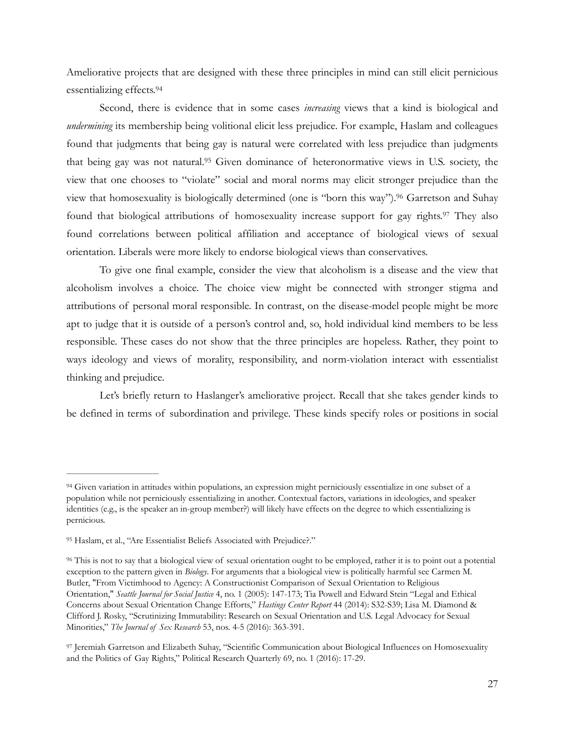<span id="page-26-4"></span>Ameliorative projects that are designed with these three principles in mind can still elicit pernicious essentializing effects.[94](#page-26-0)

<span id="page-26-5"></span> Second, there is evidence that in some cases *increasing* views that a kind is biological and *undermining* its membership being volitional elicit less prejudice. For example, Haslam and colleagues found that judgments that being gay is natural were correlated with less prejudice than judgments that being gay was not natural.<sup>[95](#page-26-1)</sup> Given dominance of heteronormative views in U.S. society, the view that one chooses to "violate" social and moral norms may elicit stronger prejudice than the view that homosexuality is biologically determined (one is "born this way").<sup>[96](#page-26-2)</sup> Garretson and Suhay found that biological attributions of homosexuality increase support for gay rights.<sup>[97](#page-26-3)</sup> They also found correlations between political affiliation and acceptance of biological views of sexual orientation. Liberals were more likely to endorse biological views than conservatives.

<span id="page-26-7"></span><span id="page-26-6"></span> To give one final example, consider the view that alcoholism is a disease and the view that alcoholism involves a choice. The choice view might be connected with stronger stigma and attributions of personal moral responsible. In contrast, on the disease-model people might be more apt to judge that it is outside of a person's control and, so, hold individual kind members to be less responsible. These cases do not show that the three principles are hopeless. Rather, they point to ways ideology and views of morality, responsibility, and norm-violation interact with essentialist thinking and prejudice.

 Let's briefly return to Haslanger's ameliorative project. Recall that she takes gender kinds to be defined in terms of subordination and privilege. These kinds specify roles or positions in social

<span id="page-26-0"></span><sup>&</sup>lt;sup>[94](#page-26-4)</sup> Given variation in attitudes within populations, an expression might perniciously essentialize in one subset of a population while not perniciously essentializing in another. Contextual factors, variations in ideologies, and speaker identities (e.g., is the speaker an in-group member?) will likely have effects on the degree to which essentializing is pernicious.

<span id="page-26-1"></span>[<sup>95</sup>](#page-26-5) Haslam, et al., "Are Essentialist Beliefs Associated with Prejudice?."

<span id="page-26-2"></span>This is not to say that a biological view of sexual orientation ought to be employed, rather it is to point out a potential [96](#page-26-6) exception to the pattern given in *Biology*. For arguments that a biological view is politically harmful see Carmen M. Butler, "From Victimhood to Agency: A Constructionist Comparison of Sexual Orientation to Religious Orientation," *Seattle Journal for Social Justice* 4, no. 1 (2005): 147-173; Tia Powell and Edward Stein "Legal and Ethical Concerns about Sexual Orientation Change Efforts," *Hastings Center Report* 44 (2014): S32-S39; Lisa M. Diamond & Clifford J. Rosky, "Scrutinizing Immutability: Research on Sexual Orientation and U.S. Legal Advocacy for Sexual Minorities," *The Journal of Sex Research* 53, nos. 4-5 (2016): 363-391.

<span id="page-26-3"></span><sup>&</sup>lt;sup>[97](#page-26-7)</sup> Jeremiah Garretson and Elizabeth Suhay, "Scientific Communication about Biological Influences on Homosexuality and the Politics of Gay Rights," Political Research Quarterly 69, no. 1 (2016): 17-29.